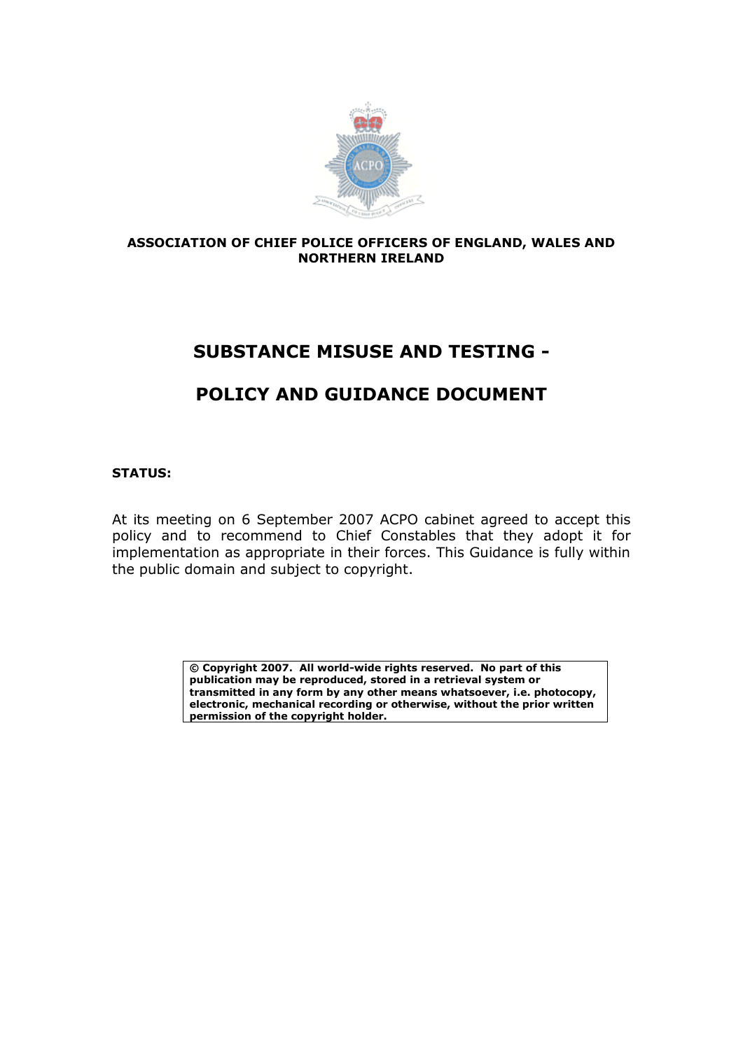

#### **ASSOCIATION OF CHIEF POLICE OFFICERS OF ENGLAND, WALES AND NORTHERN IRELAND**

# **SUBSTANCE MISUSE AND TESTING -**

# **POLICY AND GUIDANCE DOCUMENT**

#### **STATUS:**

At its meeting on 6 September 2007 ACPO cabinet agreed to accept this policy and to recommend to Chief Constables that they adopt it for implementation as appropriate in their forces. This Guidance is fully within the public domain and subject to copyright.

> **© Copyright 2007. All world-wide rights reserved. No part of this publication may be reproduced, stored in a retrieval system or transmitted in any form by any other means whatsoever, i.e. photocopy, electronic, mechanical recording or otherwise, without the prior written permission of the copyright holder.**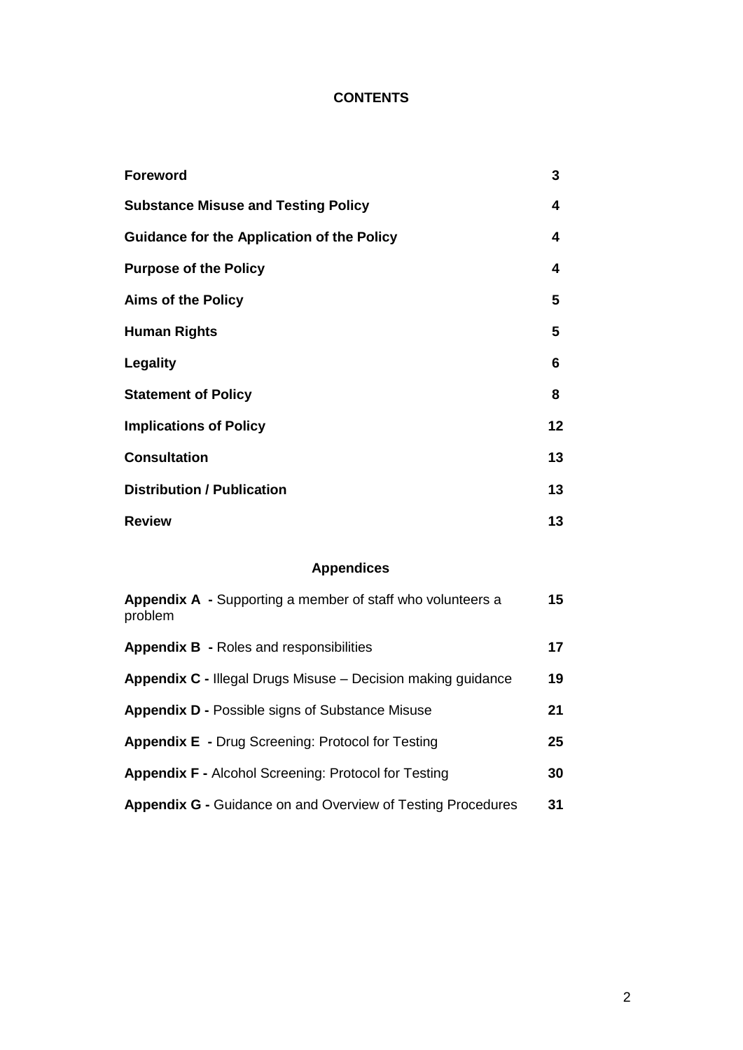## **CONTENTS**

| <b>Foreword</b>                                   | 3  |
|---------------------------------------------------|----|
| <b>Substance Misuse and Testing Policy</b>        | 4  |
| <b>Guidance for the Application of the Policy</b> | 4  |
| <b>Purpose of the Policy</b>                      | 4  |
| <b>Aims of the Policy</b>                         | 5  |
| <b>Human Rights</b>                               | 5  |
| <b>Legality</b>                                   | 6  |
| <b>Statement of Policy</b>                        | 8  |
| <b>Implications of Policy</b>                     | 12 |
| <b>Consultation</b>                               | 13 |
| <b>Distribution / Publication</b>                 | 13 |
| <b>Review</b>                                     | 13 |

### **Appendices**

| Appendix A - Supporting a member of staff who volunteers a<br>problem | 15 |
|-----------------------------------------------------------------------|----|
| <b>Appendix B - Roles and responsibilities</b>                        | 17 |
| <b>Appendix C - Illegal Drugs Misuse - Decision making guidance</b>   | 19 |
| <b>Appendix D - Possible signs of Substance Misuse</b>                | 21 |
| <b>Appendix E</b> - Drug Screening: Protocol for Testing              | 25 |
| <b>Appendix F - Alcohol Screening: Protocol for Testing</b>           | 30 |
| <b>Appendix G - Guidance on and Overview of Testing Procedures</b>    | 31 |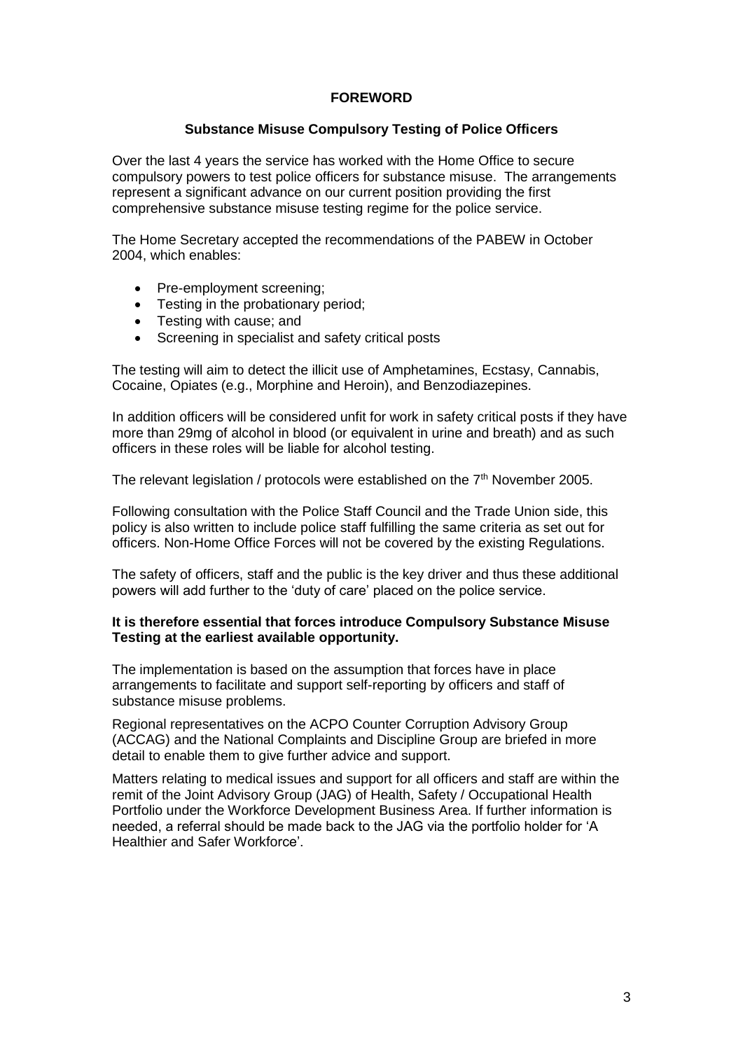#### **FOREWORD**

#### **Substance Misuse Compulsory Testing of Police Officers**

Over the last 4 years the service has worked with the Home Office to secure compulsory powers to test police officers for substance misuse. The arrangements represent a significant advance on our current position providing the first comprehensive substance misuse testing regime for the police service.

The Home Secretary accepted the recommendations of the PABEW in October 2004, which enables:

- Pre-employment screening;
- Testing in the probationary period;
- Testing with cause; and
- Screening in specialist and safety critical posts

The testing will aim to detect the illicit use of Amphetamines, Ecstasy, Cannabis, Cocaine, Opiates (e.g., Morphine and Heroin), and Benzodiazepines.

In addition officers will be considered unfit for work in safety critical posts if they have more than 29mg of alcohol in blood (or equivalent in urine and breath) and as such officers in these roles will be liable for alcohol testing.

The relevant legislation / protocols were established on the 7<sup>th</sup> November 2005.

Following consultation with the Police Staff Council and the Trade Union side, this policy is also written to include police staff fulfilling the same criteria as set out for officers. Non-Home Office Forces will not be covered by the existing Regulations.

The safety of officers, staff and the public is the key driver and thus these additional powers will add further to the 'duty of care' placed on the police service.

#### **It is therefore essential that forces introduce Compulsory Substance Misuse Testing at the earliest available opportunity.**

The implementation is based on the assumption that forces have in place arrangements to facilitate and support self-reporting by officers and staff of substance misuse problems.

Regional representatives on the ACPO Counter Corruption Advisory Group (ACCAG) and the National Complaints and Discipline Group are briefed in more detail to enable them to give further advice and support.

Matters relating to medical issues and support for all officers and staff are within the remit of the Joint Advisory Group (JAG) of Health, Safety / Occupational Health Portfolio under the Workforce Development Business Area. If further information is needed, a referral should be made back to the JAG via the portfolio holder for 'A Healthier and Safer Workforce'.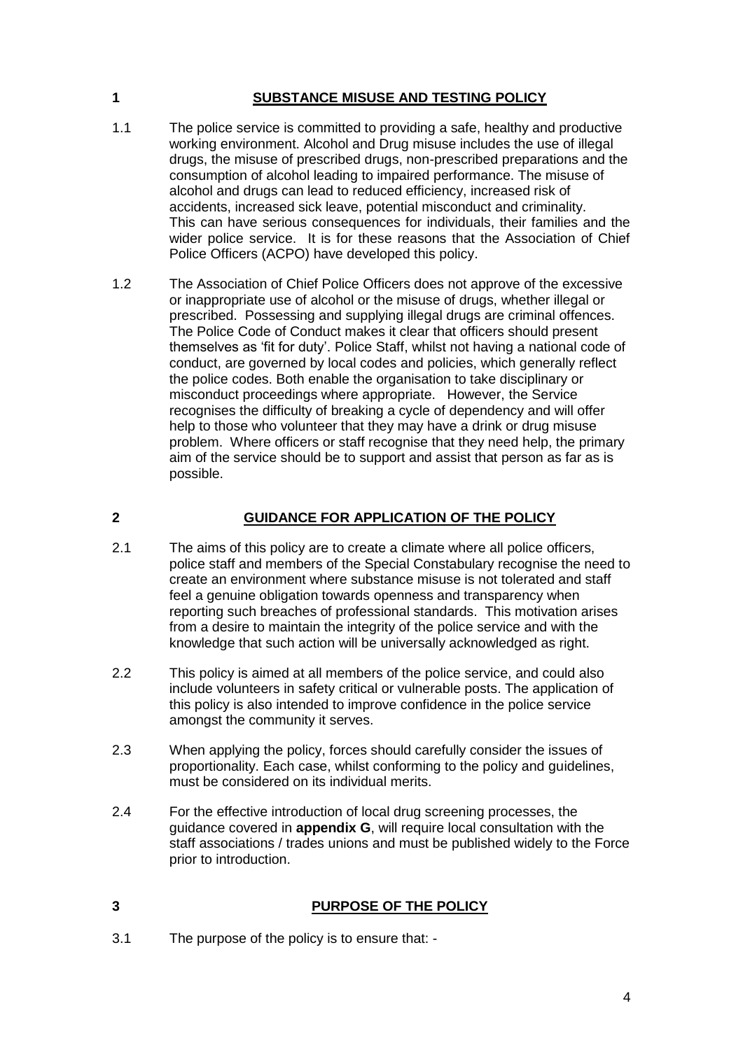#### **1 SUBSTANCE MISUSE AND TESTING POLICY**

- 1.1 The police service is committed to providing a safe, healthy and productive working environment. Alcohol and Drug misuse includes the use of illegal drugs, the misuse of prescribed drugs, non-prescribed preparations and the consumption of alcohol leading to impaired performance. The misuse of alcohol and drugs can lead to reduced efficiency, increased risk of accidents, increased sick leave, potential misconduct and criminality. This can have serious consequences for individuals, their families and the wider police service. It is for these reasons that the Association of Chief Police Officers (ACPO) have developed this policy.
- 1.2 The Association of Chief Police Officers does not approve of the excessive or inappropriate use of alcohol or the misuse of drugs, whether illegal or prescribed. Possessing and supplying illegal drugs are criminal offences. The Police Code of Conduct makes it clear that officers should present themselves as 'fit for duty'. Police Staff, whilst not having a national code of conduct, are governed by local codes and policies, which generally reflect the police codes. Both enable the organisation to take disciplinary or misconduct proceedings where appropriate. However, the Service recognises the difficulty of breaking a cycle of dependency and will offer help to those who volunteer that they may have a drink or drug misuse problem. Where officers or staff recognise that they need help, the primary aim of the service should be to support and assist that person as far as is possible.

#### **2 GUIDANCE FOR APPLICATION OF THE POLICY**

- 2.1 The aims of this policy are to create a climate where all police officers, police staff and members of the Special Constabulary recognise the need to create an environment where substance misuse is not tolerated and staff feel a genuine obligation towards openness and transparency when reporting such breaches of professional standards. This motivation arises from a desire to maintain the integrity of the police service and with the knowledge that such action will be universally acknowledged as right.
- 2.2 This policy is aimed at all members of the police service, and could also include volunteers in safety critical or vulnerable posts. The application of this policy is also intended to improve confidence in the police service amongst the community it serves.
- 2.3 When applying the policy, forces should carefully consider the issues of proportionality. Each case, whilst conforming to the policy and guidelines, must be considered on its individual merits.
- 2.4 For the effective introduction of local drug screening processes, the guidance covered in **appendix G**, will require local consultation with the staff associations / trades unions and must be published widely to the Force prior to introduction.

#### **3 PURPOSE OF THE POLICY**

3.1 The purpose of the policy is to ensure that: -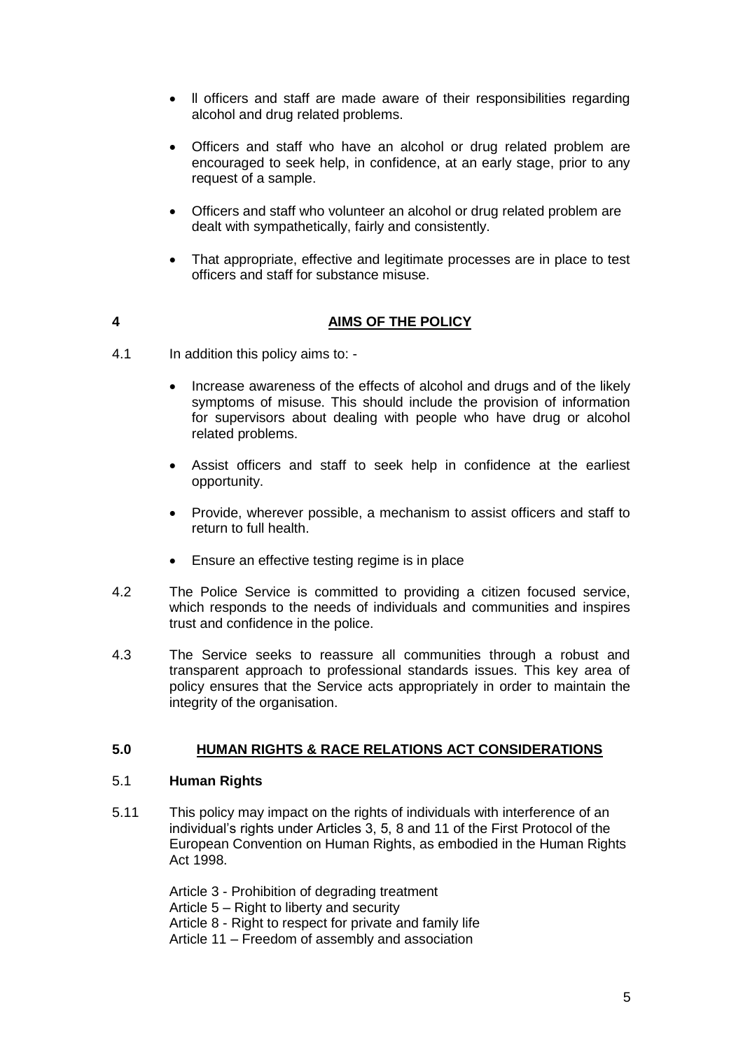- ll officers and staff are made aware of their responsibilities regarding alcohol and drug related problems.
- Officers and staff who have an alcohol or drug related problem are encouraged to seek help, in confidence, at an early stage, prior to any request of a sample.
- Officers and staff who volunteer an alcohol or drug related problem are dealt with sympathetically, fairly and consistently.
- That appropriate, effective and legitimate processes are in place to test officers and staff for substance misuse.

#### **4 AIMS OF THE POLICY**

- 4.1 In addition this policy aims to:
	- Increase awareness of the effects of alcohol and drugs and of the likely symptoms of misuse. This should include the provision of information for supervisors about dealing with people who have drug or alcohol related problems.
	- Assist officers and staff to seek help in confidence at the earliest opportunity.
	- Provide, wherever possible, a mechanism to assist officers and staff to return to full health.
	- Ensure an effective testing regime is in place
- 4.2 The Police Service is committed to providing a citizen focused service, which responds to the needs of individuals and communities and inspires trust and confidence in the police.
- 4.3 The Service seeks to reassure all communities through a robust and transparent approach to professional standards issues. This key area of policy ensures that the Service acts appropriately in order to maintain the integrity of the organisation.

#### **5.0 HUMAN RIGHTS & RACE RELATIONS ACT CONSIDERATIONS**

#### 5.1 **Human Rights**

5.11 This policy may impact on the rights of individuals with interference of an individual's rights under Articles 3, 5, 8 and 11 of the First Protocol of the European Convention on Human Rights, as embodied in the Human Rights Act 1998.

> Article 3 - Prohibition of degrading treatment Article 5 – Right to liberty and security Article 8 - Right to respect for private and family life Article 11 – Freedom of assembly and association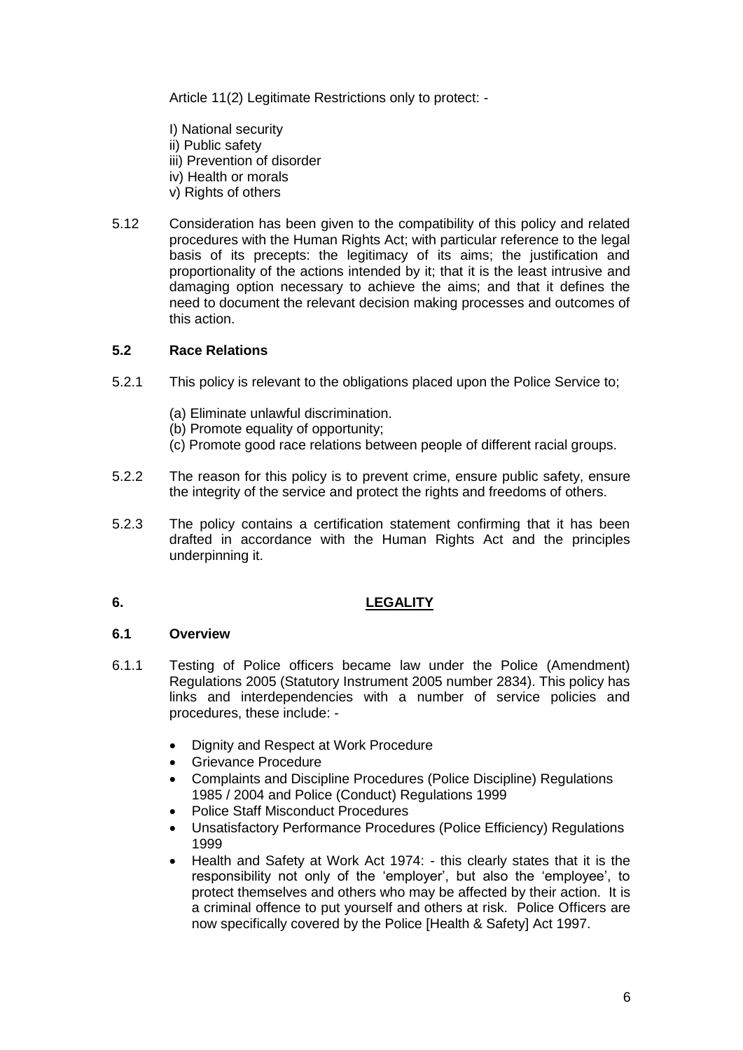Article 11(2) Legitimate Restrictions only to protect: -

- I) National security
- ii) Public safety
- iii) Prevention of disorder
- iv) Health or morals
- v) Rights of others
- 5.12 Consideration has been given to the compatibility of this policy and related procedures with the Human Rights Act; with particular reference to the legal basis of its precepts: the legitimacy of its aims; the justification and proportionality of the actions intended by it; that it is the least intrusive and damaging option necessary to achieve the aims; and that it defines the need to document the relevant decision making processes and outcomes of this action.

#### **5.2 Race Relations**

- 5.2.1 This policy is relevant to the obligations placed upon the Police Service to;
	- (a) Eliminate unlawful discrimination.
	- (b) Promote equality of opportunity;
	- (c) Promote good race relations between people of different racial groups.
- 5.2.2 The reason for this policy is to prevent crime, ensure public safety, ensure the integrity of the service and protect the rights and freedoms of others.
- 5.2.3 The policy contains a certification statement confirming that it has been drafted in accordance with the Human Rights Act and the principles underpinning it.

#### **6. LEGALITY**

#### **6.1 Overview**

- 6.1.1 Testing of Police officers became law under the Police (Amendment) Regulations 2005 (Statutory Instrument 2005 number 2834). This policy has links and interdependencies with a number of service policies and procedures, these include: -
	- Dignity and Respect at Work Procedure
	- **Grievance Procedure**
	- Complaints and Discipline Procedures (Police Discipline) Regulations 1985 / 2004 and Police (Conduct) Regulations 1999
	- Police Staff Misconduct Procedures
	- Unsatisfactory Performance Procedures (Police Efficiency) Regulations 1999
	- Health and Safety at Work Act 1974: this clearly states that it is the responsibility not only of the 'employer', but also the 'employee', to protect themselves and others who may be affected by their action. It is a criminal offence to put yourself and others at risk. Police Officers are now specifically covered by the Police [Health & Safety] Act 1997.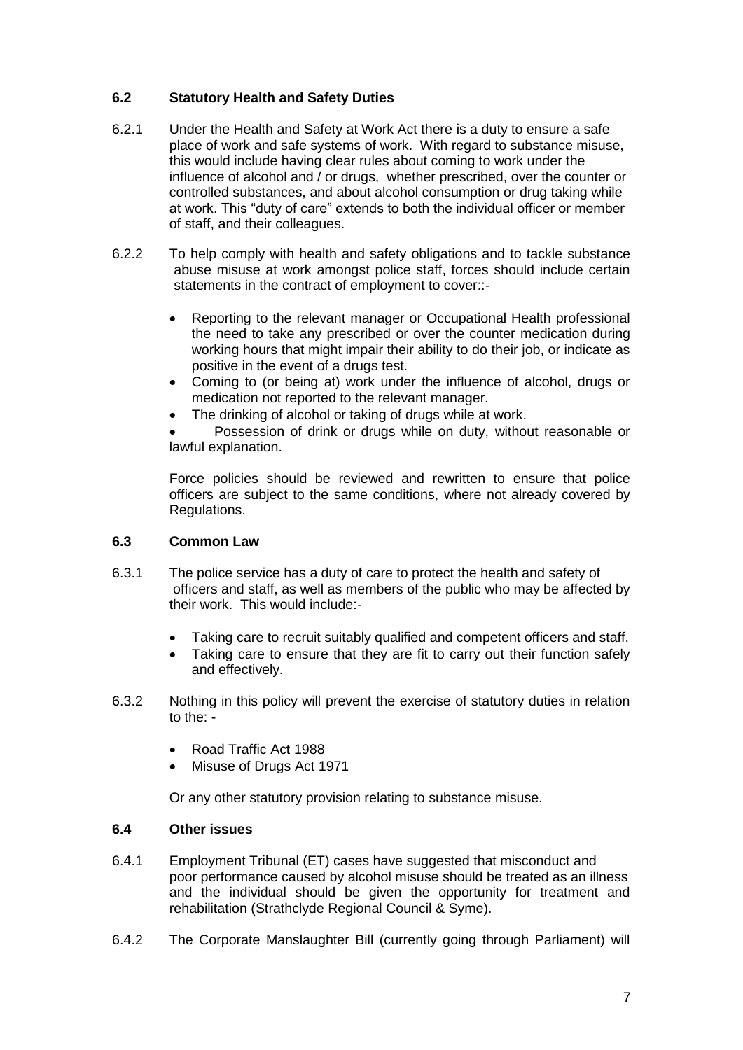#### **6.2 Statutory Health and Safety Duties**

- 6.2.1 Under the Health and Safety at Work Act there is a duty to ensure a safe place of work and safe systems of work. With regard to substance misuse, this would include having clear rules about coming to work under the influence of alcohol and / or drugs, whether prescribed, over the counter or controlled substances, and about alcohol consumption or drug taking while at work. This "duty of care" extends to both the individual officer or member of staff, and their colleagues.
- 6.2.2 To help comply with health and safety obligations and to tackle substance abuse misuse at work amongst police staff, forces should include certain statements in the contract of employment to cover::-
	- Reporting to the relevant manager or Occupational Health professional the need to take any prescribed or over the counter medication during working hours that might impair their ability to do their job, or indicate as positive in the event of a drugs test.
	- Coming to (or being at) work under the influence of alcohol, drugs or medication not reported to the relevant manager.
	- The drinking of alcohol or taking of drugs while at work.

 Possession of drink or drugs while on duty, without reasonable or lawful explanation.

Force policies should be reviewed and rewritten to ensure that police officers are subject to the same conditions, where not already covered by Regulations.

#### **6.3 Common Law**

- 6.3.1 The police service has a duty of care to protect the health and safety of officers and staff, as well as members of the public who may be affected by their work. This would include:-
	- Taking care to recruit suitably qualified and competent officers and staff.
	- Taking care to ensure that they are fit to carry out their function safely and effectively.
- 6.3.2 Nothing in this policy will prevent the exercise of statutory duties in relation to the: -
	- Road Traffic Act 1988
	- Misuse of Drugs Act 1971

Or any other statutory provision relating to substance misuse.

#### **6.4 Other issues**

- 6.4.1 Employment Tribunal (ET) cases have suggested that misconduct and poor performance caused by alcohol misuse should be treated as an illness and the individual should be given the opportunity for treatment and rehabilitation (Strathclyde Regional Council & Syme).
- 6.4.2 The Corporate Manslaughter Bill (currently going through Parliament) will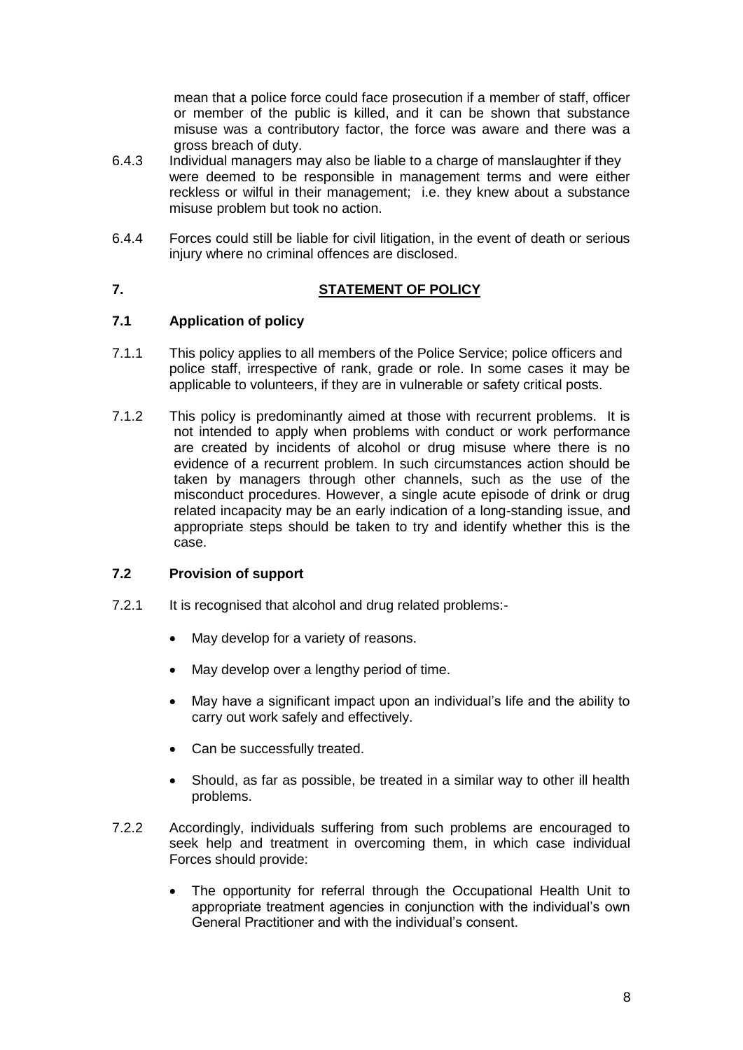mean that a police force could face prosecution if a member of staff, officer or member of the public is killed, and it can be shown that substance misuse was a contributory factor, the force was aware and there was a gross breach of duty.

- 6.4.3 Individual managers may also be liable to a charge of manslaughter if they were deemed to be responsible in management terms and were either reckless or wilful in their management; i.e. they knew about a substance misuse problem but took no action.
- 6.4.4 Forces could still be liable for civil litigation, in the event of death or serious injury where no criminal offences are disclosed.

#### **7. STATEMENT OF POLICY**

#### **7.1 Application of policy**

- 7.1.1 This policy applies to all members of the Police Service; police officers and police staff, irrespective of rank, grade or role. In some cases it may be applicable to volunteers, if they are in vulnerable or safety critical posts.
- 7.1.2 This policy is predominantly aimed at those with recurrent problems. It is not intended to apply when problems with conduct or work performance are created by incidents of alcohol or drug misuse where there is no evidence of a recurrent problem. In such circumstances action should be taken by managers through other channels, such as the use of the misconduct procedures. However, a single acute episode of drink or drug related incapacity may be an early indication of a long-standing issue, and appropriate steps should be taken to try and identify whether this is the case.

#### **7.2 Provision of support**

- 7.2.1 It is recognised that alcohol and drug related problems:-
	- May develop for a variety of reasons.
	- May develop over a lengthy period of time.
	- May have a significant impact upon an individual's life and the ability to carry out work safely and effectively.
	- Can be successfully treated.
	- Should, as far as possible, be treated in a similar way to other ill health problems.
- 7.2.2 Accordingly, individuals suffering from such problems are encouraged to seek help and treatment in overcoming them, in which case individual Forces should provide:
	- The opportunity for referral through the Occupational Health Unit to appropriate treatment agencies in conjunction with the individual's own General Practitioner and with the individual's consent.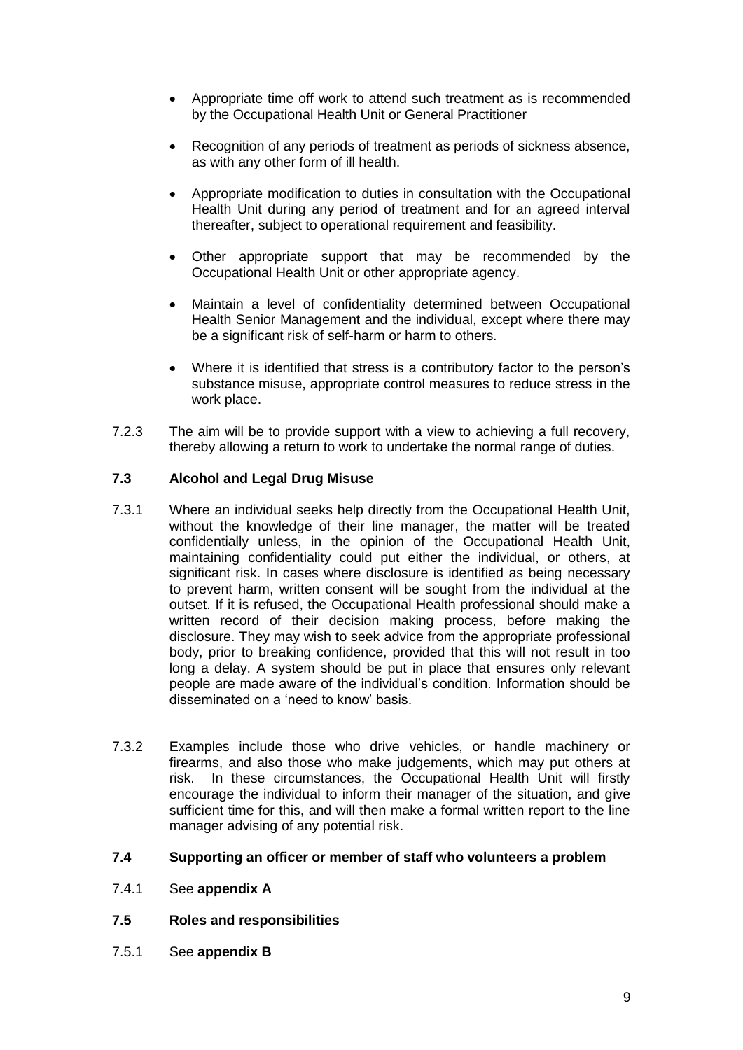- Appropriate time off work to attend such treatment as is recommended by the Occupational Health Unit or General Practitioner
- Recognition of any periods of treatment as periods of sickness absence, as with any other form of ill health.
- Appropriate modification to duties in consultation with the Occupational Health Unit during any period of treatment and for an agreed interval thereafter, subject to operational requirement and feasibility.
- Other appropriate support that may be recommended by the Occupational Health Unit or other appropriate agency.
- Maintain a level of confidentiality determined between Occupational Health Senior Management and the individual, except where there may be a significant risk of self-harm or harm to others.
- Where it is identified that stress is a contributory factor to the person's substance misuse, appropriate control measures to reduce stress in the work place.
- 7.2.3 The aim will be to provide support with a view to achieving a full recovery, thereby allowing a return to work to undertake the normal range of duties.

#### **7.3 Alcohol and Legal Drug Misuse**

- 7.3.1 Where an individual seeks help directly from the Occupational Health Unit, without the knowledge of their line manager, the matter will be treated confidentially unless, in the opinion of the Occupational Health Unit, maintaining confidentiality could put either the individual, or others, at significant risk. In cases where disclosure is identified as being necessary to prevent harm, written consent will be sought from the individual at the outset. If it is refused, the Occupational Health professional should make a written record of their decision making process, before making the disclosure. They may wish to seek advice from the appropriate professional body, prior to breaking confidence, provided that this will not result in too long a delay. A system should be put in place that ensures only relevant people are made aware of the individual's condition. Information should be disseminated on a 'need to know' basis.
- 7.3.2 Examples include those who drive vehicles, or handle machinery or firearms, and also those who make judgements, which may put others at risk. In these circumstances, the Occupational Health Unit will firstly encourage the individual to inform their manager of the situation, and give sufficient time for this, and will then make a formal written report to the line manager advising of any potential risk.

#### **7.4 Supporting an officer or member of staff who volunteers a problem**

- 7.4.1 See **appendix A**
- **7.5 Roles and responsibilities**
- 7.5.1 See **appendix B**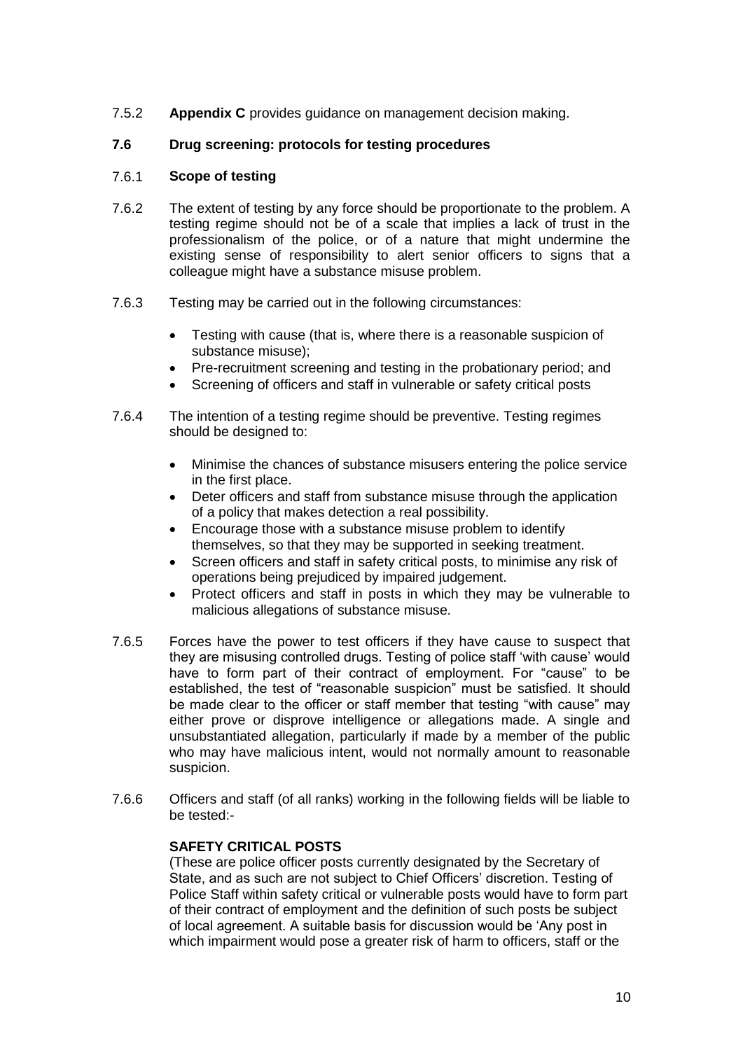7.5.2 **Appendix C** provides guidance on management decision making.

#### **7.6 Drug screening: protocols for testing procedures**

#### 7.6.1 **Scope of testing**

- 7.6.2 The extent of testing by any force should be proportionate to the problem. A testing regime should not be of a scale that implies a lack of trust in the professionalism of the police, or of a nature that might undermine the existing sense of responsibility to alert senior officers to signs that a colleague might have a substance misuse problem.
- 7.6.3 Testing may be carried out in the following circumstances:
	- Testing with cause (that is, where there is a reasonable suspicion of substance misuse);
	- Pre-recruitment screening and testing in the probationary period; and
	- Screening of officers and staff in vulnerable or safety critical posts
- 7.6.4 The intention of a testing regime should be preventive. Testing regimes should be designed to:
	- Minimise the chances of substance misusers entering the police service in the first place.
	- Deter officers and staff from substance misuse through the application of a policy that makes detection a real possibility.
	- Encourage those with a substance misuse problem to identify themselves, so that they may be supported in seeking treatment.
	- Screen officers and staff in safety critical posts, to minimise any risk of operations being prejudiced by impaired judgement.
	- Protect officers and staff in posts in which they may be vulnerable to malicious allegations of substance misuse.
- 7.6.5 Forces have the power to test officers if they have cause to suspect that they are misusing controlled drugs. Testing of police staff 'with cause' would have to form part of their contract of employment. For "cause" to be established, the test of "reasonable suspicion" must be satisfied. It should be made clear to the officer or staff member that testing "with cause" may either prove or disprove intelligence or allegations made. A single and unsubstantiated allegation, particularly if made by a member of the public who may have malicious intent, would not normally amount to reasonable suspicion.
- 7.6.6 Officers and staff (of all ranks) working in the following fields will be liable to be tested:-

#### **SAFETY CRITICAL POSTS**

(These are police officer posts currently designated by the Secretary of State, and as such are not subject to Chief Officers' discretion. Testing of Police Staff within safety critical or vulnerable posts would have to form part of their contract of employment and the definition of such posts be subject of local agreement. A suitable basis for discussion would be 'Any post in which impairment would pose a greater risk of harm to officers, staff or the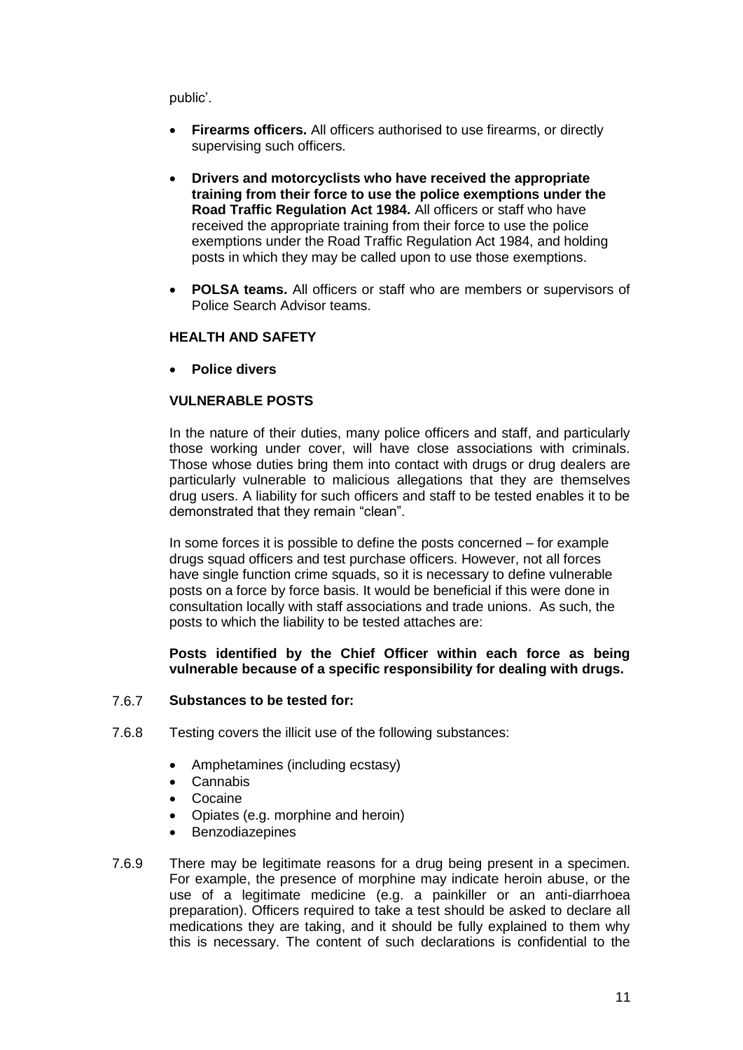public'.

- **Firearms officers.** All officers authorised to use firearms, or directly supervising such officers.
- **Drivers and motorcyclists who have received the appropriate training from their force to use the police exemptions under the Road Traffic Regulation Act 1984.** All officers or staff who have received the appropriate training from their force to use the police exemptions under the Road Traffic Regulation Act 1984, and holding posts in which they may be called upon to use those exemptions.
- **POLSA teams.** All officers or staff who are members or supervisors of Police Search Advisor teams.

#### **HEALTH AND SAFETY**

**Police divers**

#### **VULNERABLE POSTS**

In the nature of their duties, many police officers and staff, and particularly those working under cover, will have close associations with criminals. Those whose duties bring them into contact with drugs or drug dealers are particularly vulnerable to malicious allegations that they are themselves drug users. A liability for such officers and staff to be tested enables it to be demonstrated that they remain "clean".

In some forces it is possible to define the posts concerned – for example drugs squad officers and test purchase officers. However, not all forces have single function crime squads, so it is necessary to define vulnerable posts on a force by force basis. It would be beneficial if this were done in consultation locally with staff associations and trade unions. As such, the posts to which the liability to be tested attaches are:

#### **Posts identified by the Chief Officer within each force as being vulnerable because of a specific responsibility for dealing with drugs.**

#### 7.6.7 **Substances to be tested for:**

- 7.6.8 Testing covers the illicit use of the following substances:
	- Amphetamines (including ecstasy)
	- Cannabis
	- Cocaine
	- Opiates (e.g. morphine and heroin)
	- Benzodiazepines
- 7.6.9 There may be legitimate reasons for a drug being present in a specimen. For example, the presence of morphine may indicate heroin abuse, or the use of a legitimate medicine (e.g. a painkiller or an anti-diarrhoea preparation). Officers required to take a test should be asked to declare all medications they are taking, and it should be fully explained to them why this is necessary. The content of such declarations is confidential to the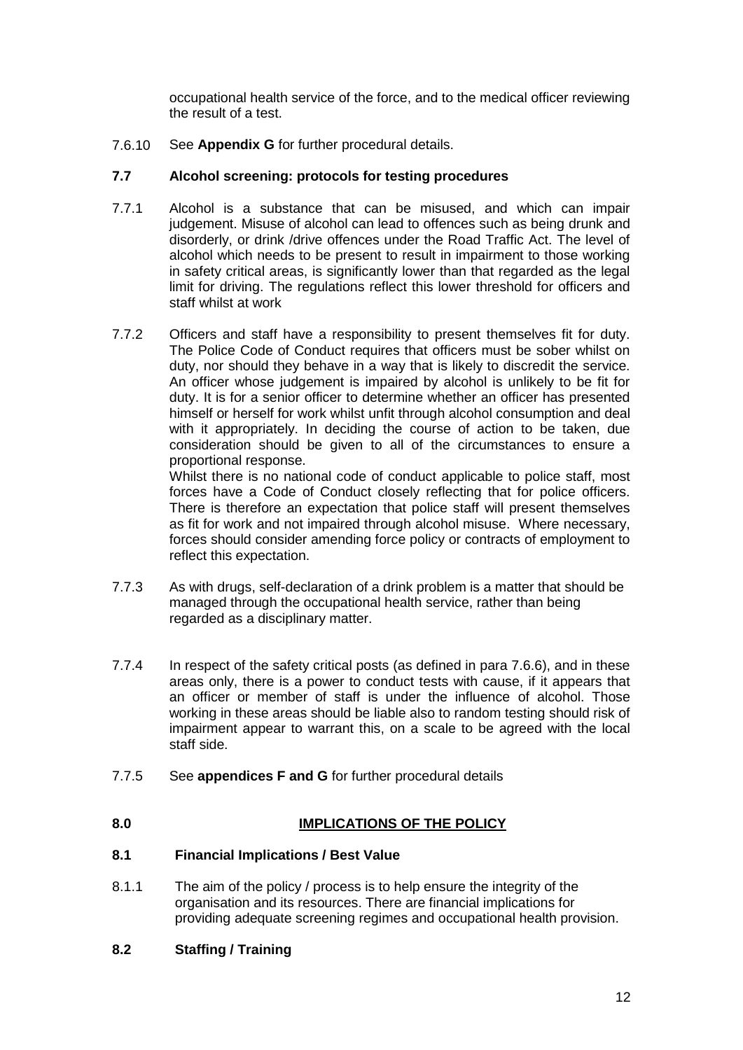occupational health service of the force, and to the medical officer reviewing the result of a test.

7.6.10 See **Appendix G** for further procedural details.

#### **7.7 Alcohol screening: protocols for testing procedures**

- 7.7.1 Alcohol is a substance that can be misused, and which can impair judgement. Misuse of alcohol can lead to offences such as being drunk and disorderly, or drink /drive offences under the Road Traffic Act. The level of alcohol which needs to be present to result in impairment to those working in safety critical areas, is significantly lower than that regarded as the legal limit for driving. The regulations reflect this lower threshold for officers and staff whilst at work
- 7.7.2 Officers and staff have a responsibility to present themselves fit for duty. The Police Code of Conduct requires that officers must be sober whilst on duty, nor should they behave in a way that is likely to discredit the service. An officer whose judgement is impaired by alcohol is unlikely to be fit for duty. It is for a senior officer to determine whether an officer has presented himself or herself for work whilst unfit through alcohol consumption and deal with it appropriately. In deciding the course of action to be taken, due consideration should be given to all of the circumstances to ensure a proportional response.

Whilst there is no national code of conduct applicable to police staff, most forces have a Code of Conduct closely reflecting that for police officers. There is therefore an expectation that police staff will present themselves as fit for work and not impaired through alcohol misuse. Where necessary, forces should consider amending force policy or contracts of employment to reflect this expectation.

- 7.7.3 As with drugs, self-declaration of a drink problem is a matter that should be managed through the occupational health service, rather than being regarded as a disciplinary matter.
- 7.7.4 In respect of the safety critical posts (as defined in para 7.6.6), and in these areas only, there is a power to conduct tests with cause, if it appears that an officer or member of staff is under the influence of alcohol. Those working in these areas should be liable also to random testing should risk of impairment appear to warrant this, on a scale to be agreed with the local staff side.
- 7.7.5 See **appendices F and G** for further procedural details

#### **8.0 IMPLICATIONS OF THE POLICY**

#### **8.1 Financial Implications / Best Value**

8.1.1 The aim of the policy / process is to help ensure the integrity of the organisation and its resources. There are financial implications for providing adequate screening regimes and occupational health provision.

#### **8.2 Staffing / Training**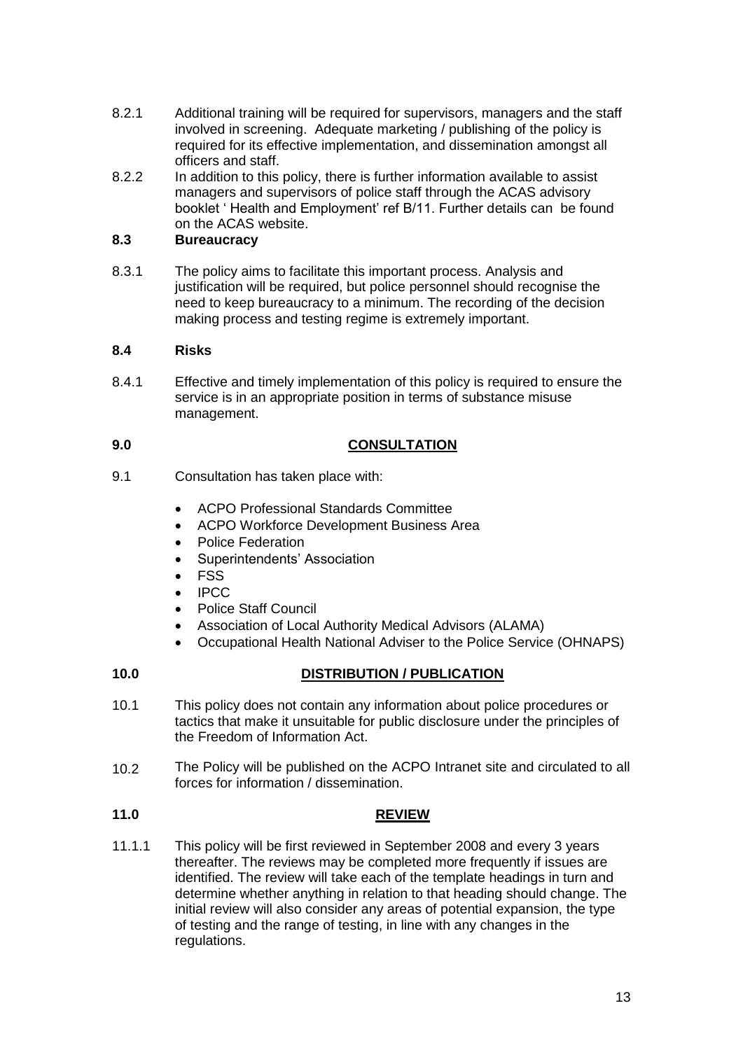- 8.2.1 Additional training will be required for supervisors, managers and the staff involved in screening. Adequate marketing / publishing of the policy is required for its effective implementation, and dissemination amongst all officers and staff.
- 8.2.2 In addition to this policy, there is further information available to assist managers and supervisors of police staff through the ACAS advisory booklet ' Health and Employment' ref B/11. Further details can be found on the ACAS website.

#### **8.3 Bureaucracy**

8.3.1 The policy aims to facilitate this important process. Analysis and justification will be required, but police personnel should recognise the need to keep bureaucracy to a minimum. The recording of the decision making process and testing regime is extremely important.

#### **8.4 Risks**

8.4.1 Effective and timely implementation of this policy is required to ensure the service is in an appropriate position in terms of substance misuse management.

#### **9.0 CONSULTATION**

- 9.1 Consultation has taken place with:
	- ACPO Professional Standards Committee
	- ACPO Workforce Development Business Area
	- Police Federation
	- Superintendents' Association
	- FSS
	- IPCC
	- Police Staff Council
	- Association of Local Authority Medical Advisors (ALAMA)
	- Occupational Health National Adviser to the Police Service (OHNAPS)

#### **10.0 DISTRIBUTION / PUBLICATION**

- 10.1 This policy does not contain any information about police procedures or tactics that make it unsuitable for public disclosure under the principles of the Freedom of Information Act.
- 10.2 The Policy will be published on the ACPO Intranet site and circulated to all forces for information / dissemination.

#### **11.0 REVIEW**

11.1.1 This policy will be first reviewed in September 2008 and every 3 years thereafter. The reviews may be completed more frequently if issues are identified. The review will take each of the template headings in turn and determine whether anything in relation to that heading should change. The initial review will also consider any areas of potential expansion, the type of testing and the range of testing, in line with any changes in the regulations.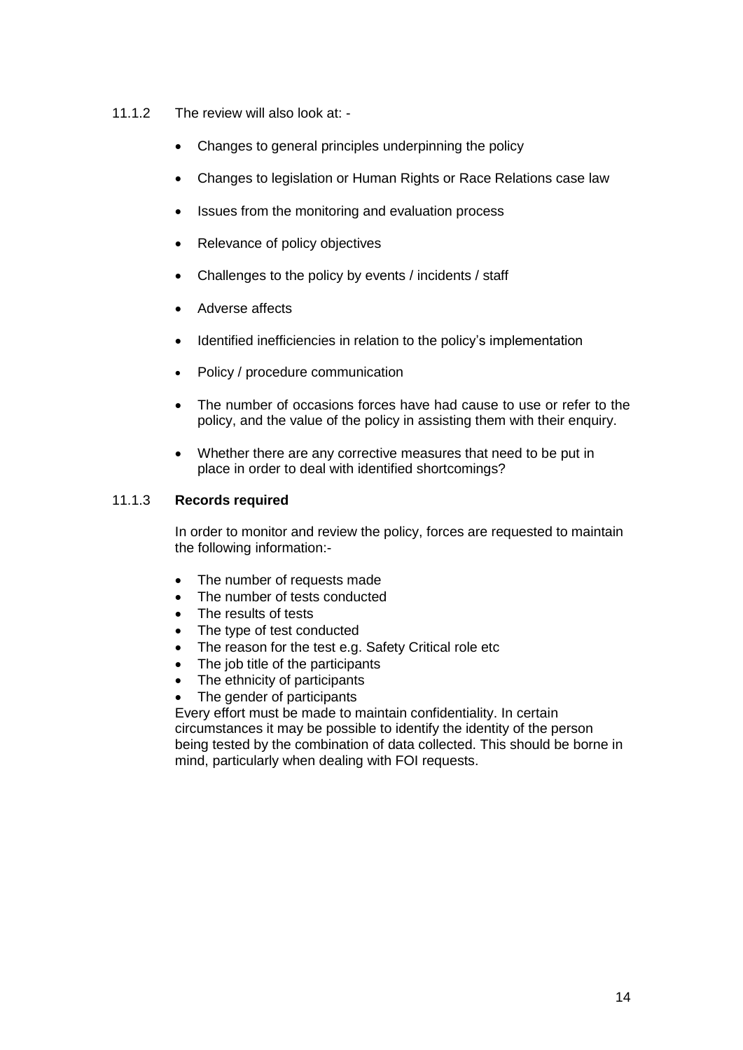- 11.1.2 The review will also look at:
	- Changes to general principles underpinning the policy
	- Changes to legislation or Human Rights or Race Relations case law
	- Issues from the monitoring and evaluation process
	- Relevance of policy objectives
	- Challenges to the policy by events / incidents / staff
	- Adverse affects
	- Identified inefficiencies in relation to the policy's implementation
	- Policy / procedure communication
	- The number of occasions forces have had cause to use or refer to the policy, and the value of the policy in assisting them with their enquiry.
	- Whether there are any corrective measures that need to be put in place in order to deal with identified shortcomings?

#### 11.1.3 **Records required**

In order to monitor and review the policy, forces are requested to maintain the following information:-

- The number of requests made
- The number of tests conducted
- The results of tests
- The type of test conducted
- The reason for the test e.g. Safety Critical role etc
- The job title of the participants
- The ethnicity of participants
- The gender of participants

Every effort must be made to maintain confidentiality. In certain circumstances it may be possible to identify the identity of the person being tested by the combination of data collected. This should be borne in mind, particularly when dealing with FOI requests.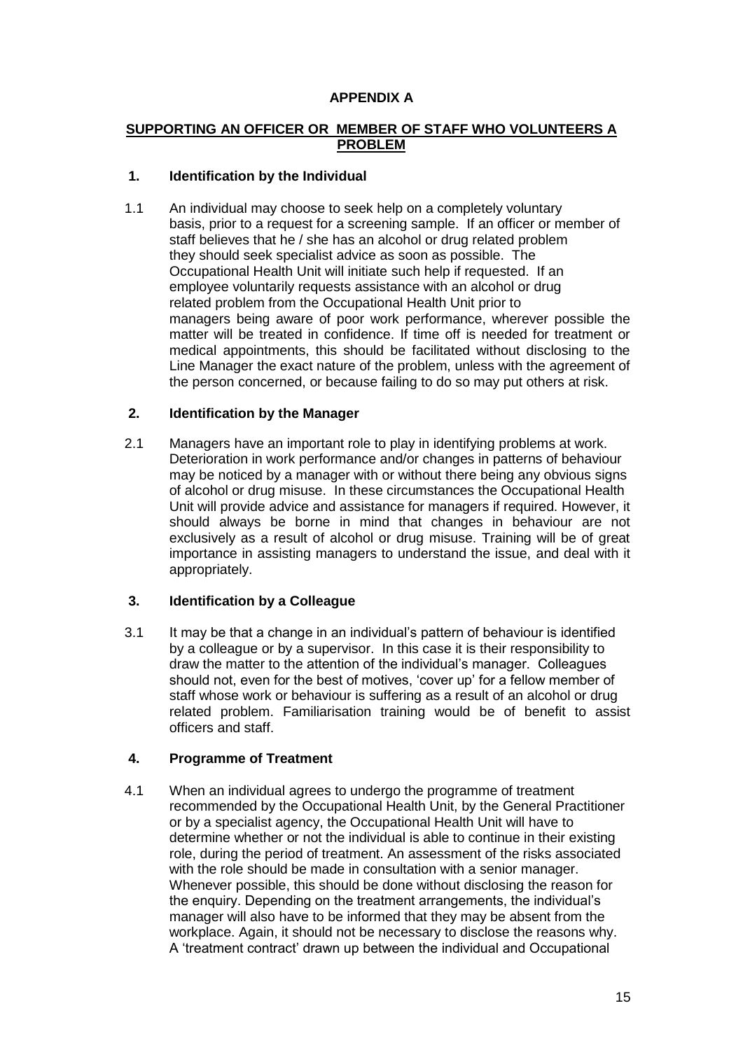#### **APPENDIX A**

#### **SUPPORTING AN OFFICER OR MEMBER OF STAFF WHO VOLUNTEERS A PROBLEM**

#### **1. Identification by the Individual**

1.1 An individual may choose to seek help on a completely voluntary basis, prior to a request for a screening sample. If an officer or member of staff believes that he / she has an alcohol or drug related problem they should seek specialist advice as soon as possible. The Occupational Health Unit will initiate such help if requested. If an employee voluntarily requests assistance with an alcohol or drug related problem from the Occupational Health Unit prior to managers being aware of poor work performance, wherever possible the matter will be treated in confidence. If time off is needed for treatment or medical appointments, this should be facilitated without disclosing to the Line Manager the exact nature of the problem, unless with the agreement of the person concerned, or because failing to do so may put others at risk.

#### **2. Identification by the Manager**

2.1 Managers have an important role to play in identifying problems at work. Deterioration in work performance and/or changes in patterns of behaviour may be noticed by a manager with or without there being any obvious signs of alcohol or drug misuse. In these circumstances the Occupational Health Unit will provide advice and assistance for managers if required. However, it should always be borne in mind that changes in behaviour are not exclusively as a result of alcohol or drug misuse. Training will be of great importance in assisting managers to understand the issue, and deal with it appropriately.

#### **3. Identification by a Colleague**

3.1 It may be that a change in an individual's pattern of behaviour is identified by a colleague or by a supervisor. In this case it is their responsibility to draw the matter to the attention of the individual's manager. Colleagues should not, even for the best of motives, 'cover up' for a fellow member of staff whose work or behaviour is suffering as a result of an alcohol or drug related problem. Familiarisation training would be of benefit to assist officers and staff.

#### **4. Programme of Treatment**

4.1 When an individual agrees to undergo the programme of treatment recommended by the Occupational Health Unit, by the General Practitioner or by a specialist agency, the Occupational Health Unit will have to determine whether or not the individual is able to continue in their existing role, during the period of treatment. An assessment of the risks associated with the role should be made in consultation with a senior manager. Whenever possible, this should be done without disclosing the reason for the enquiry. Depending on the treatment arrangements, the individual's manager will also have to be informed that they may be absent from the workplace. Again, it should not be necessary to disclose the reasons why. A 'treatment contract' drawn up between the individual and Occupational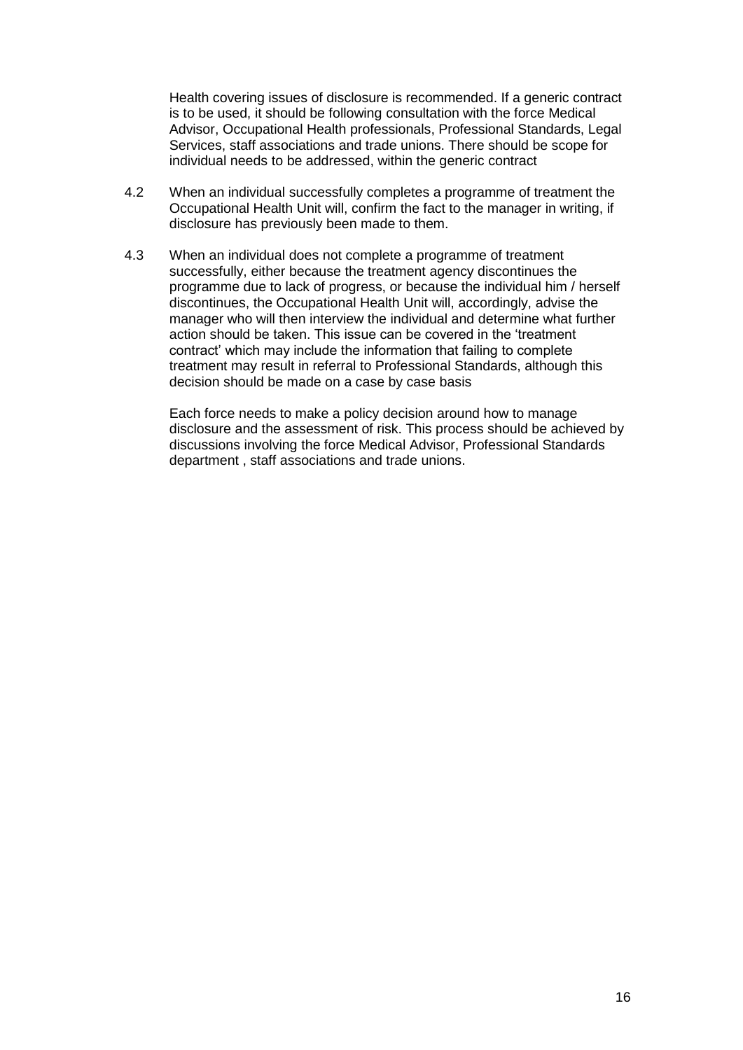Health covering issues of disclosure is recommended. If a generic contract is to be used, it should be following consultation with the force Medical Advisor, Occupational Health professionals, Professional Standards, Legal Services, staff associations and trade unions. There should be scope for individual needs to be addressed, within the generic contract

- 4.2 When an individual successfully completes a programme of treatment the Occupational Health Unit will, confirm the fact to the manager in writing, if disclosure has previously been made to them.
- 4.3 When an individual does not complete a programme of treatment successfully, either because the treatment agency discontinues the programme due to lack of progress, or because the individual him / herself discontinues, the Occupational Health Unit will, accordingly, advise the manager who will then interview the individual and determine what further action should be taken. This issue can be covered in the 'treatment contract' which may include the information that failing to complete treatment may result in referral to Professional Standards, although this decision should be made on a case by case basis

Each force needs to make a policy decision around how to manage disclosure and the assessment of risk. This process should be achieved by discussions involving the force Medical Advisor, Professional Standards department , staff associations and trade unions.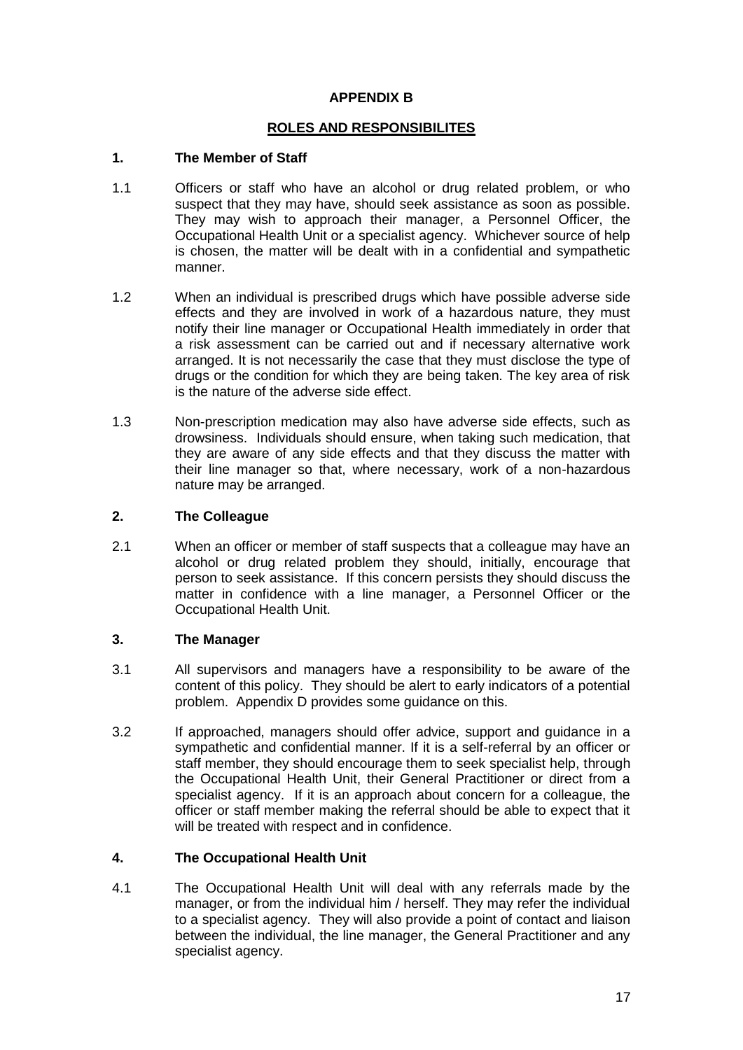#### **APPENDIX B**

#### **ROLES AND RESPONSIBILITES**

#### **1. The Member of Staff**

- 1.1 Officers or staff who have an alcohol or drug related problem, or who suspect that they may have, should seek assistance as soon as possible. They may wish to approach their manager, a Personnel Officer, the Occupational Health Unit or a specialist agency. Whichever source of help is chosen, the matter will be dealt with in a confidential and sympathetic manner.
- 1.2 When an individual is prescribed drugs which have possible adverse side effects and they are involved in work of a hazardous nature, they must notify their line manager or Occupational Health immediately in order that a risk assessment can be carried out and if necessary alternative work arranged. It is not necessarily the case that they must disclose the type of drugs or the condition for which they are being taken. The key area of risk is the nature of the adverse side effect.
- 1.3 Non-prescription medication may also have adverse side effects, such as drowsiness. Individuals should ensure, when taking such medication, that they are aware of any side effects and that they discuss the matter with their line manager so that, where necessary, work of a non-hazardous nature may be arranged.

#### **2. The Colleague**

2.1 When an officer or member of staff suspects that a colleague may have an alcohol or drug related problem they should, initially, encourage that person to seek assistance. If this concern persists they should discuss the matter in confidence with a line manager, a Personnel Officer or the Occupational Health Unit.

#### **3. The Manager**

- 3.1 All supervisors and managers have a responsibility to be aware of the content of this policy. They should be alert to early indicators of a potential problem. Appendix D provides some guidance on this.
- 3.2 If approached, managers should offer advice, support and guidance in a sympathetic and confidential manner. If it is a self-referral by an officer or staff member, they should encourage them to seek specialist help, through the Occupational Health Unit, their General Practitioner or direct from a specialist agency. If it is an approach about concern for a colleague, the officer or staff member making the referral should be able to expect that it will be treated with respect and in confidence.

#### **4. The Occupational Health Unit**

4.1 The Occupational Health Unit will deal with any referrals made by the manager, or from the individual him / herself. They may refer the individual to a specialist agency. They will also provide a point of contact and liaison between the individual, the line manager, the General Practitioner and any specialist agency.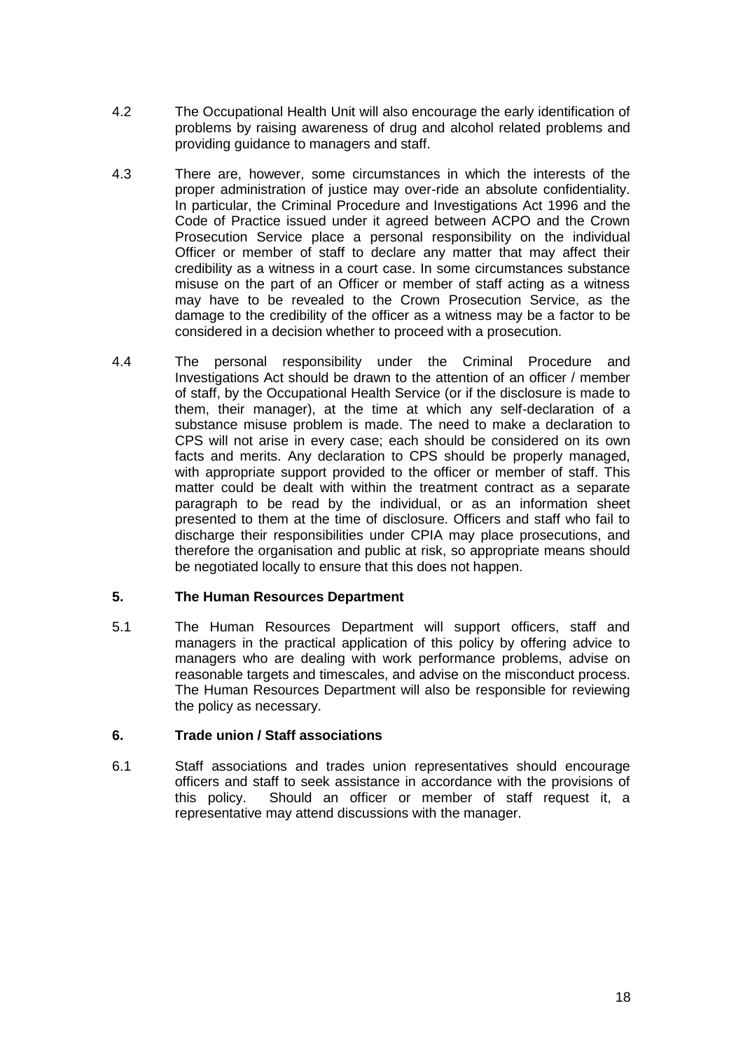- 4.2 The Occupational Health Unit will also encourage the early identification of problems by raising awareness of drug and alcohol related problems and providing guidance to managers and staff.
- 4.3 There are, however, some circumstances in which the interests of the proper administration of justice may over-ride an absolute confidentiality. In particular, the Criminal Procedure and Investigations Act 1996 and the Code of Practice issued under it agreed between ACPO and the Crown Prosecution Service place a personal responsibility on the individual Officer or member of staff to declare any matter that may affect their credibility as a witness in a court case. In some circumstances substance misuse on the part of an Officer or member of staff acting as a witness may have to be revealed to the Crown Prosecution Service, as the damage to the credibility of the officer as a witness may be a factor to be considered in a decision whether to proceed with a prosecution.
- 4.4 The personal responsibility under the Criminal Procedure and Investigations Act should be drawn to the attention of an officer / member of staff, by the Occupational Health Service (or if the disclosure is made to them, their manager), at the time at which any self-declaration of a substance misuse problem is made. The need to make a declaration to CPS will not arise in every case; each should be considered on its own facts and merits. Any declaration to CPS should be properly managed, with appropriate support provided to the officer or member of staff. This matter could be dealt with within the treatment contract as a separate paragraph to be read by the individual, or as an information sheet presented to them at the time of disclosure. Officers and staff who fail to discharge their responsibilities under CPIA may place prosecutions, and therefore the organisation and public at risk, so appropriate means should be negotiated locally to ensure that this does not happen.

#### **5. The Human Resources Department**

5.1 The Human Resources Department will support officers, staff and managers in the practical application of this policy by offering advice to managers who are dealing with work performance problems, advise on reasonable targets and timescales, and advise on the misconduct process. The Human Resources Department will also be responsible for reviewing the policy as necessary.

#### **6. Trade union / Staff associations**

6.1 Staff associations and trades union representatives should encourage officers and staff to seek assistance in accordance with the provisions of this policy. Should an officer or member of staff request it, a representative may attend discussions with the manager.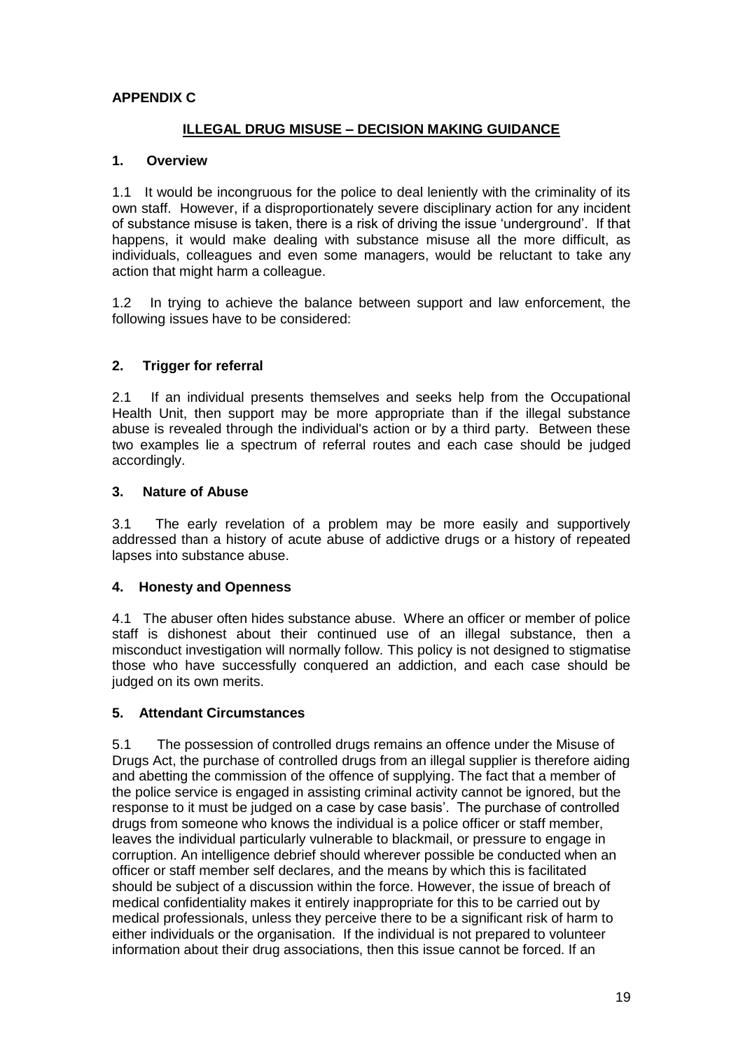#### **APPENDIX C**

#### **ILLEGAL DRUG MISUSE – DECISION MAKING GUIDANCE**

#### **1. Overview**

1.1 It would be incongruous for the police to deal leniently with the criminality of its own staff. However, if a disproportionately severe disciplinary action for any incident of substance misuse is taken, there is a risk of driving the issue 'underground'. If that happens, it would make dealing with substance misuse all the more difficult, as individuals, colleagues and even some managers, would be reluctant to take any action that might harm a colleague.

1.2 In trying to achieve the balance between support and law enforcement, the following issues have to be considered:

#### **2. Trigger for referral**

2.1 If an individual presents themselves and seeks help from the Occupational Health Unit, then support may be more appropriate than if the illegal substance abuse is revealed through the individual's action or by a third party. Between these two examples lie a spectrum of referral routes and each case should be judged accordingly.

#### **3. Nature of Abuse**

3.1 The early revelation of a problem may be more easily and supportively addressed than a history of acute abuse of addictive drugs or a history of repeated lapses into substance abuse.

#### **4. Honesty and Openness**

4.1 The abuser often hides substance abuse. Where an officer or member of police staff is dishonest about their continued use of an illegal substance, then a misconduct investigation will normally follow. This policy is not designed to stigmatise those who have successfully conquered an addiction, and each case should be judged on its own merits.

#### **5. Attendant Circumstances**

5.1 The possession of controlled drugs remains an offence under the Misuse of Drugs Act, the purchase of controlled drugs from an illegal supplier is therefore aiding and abetting the commission of the offence of supplying. The fact that a member of the police service is engaged in assisting criminal activity cannot be ignored, but the response to it must be judged on a case by case basis'. The purchase of controlled drugs from someone who knows the individual is a police officer or staff member, leaves the individual particularly vulnerable to blackmail, or pressure to engage in corruption. An intelligence debrief should wherever possible be conducted when an officer or staff member self declares, and the means by which this is facilitated should be subject of a discussion within the force. However, the issue of breach of medical confidentiality makes it entirely inappropriate for this to be carried out by medical professionals, unless they perceive there to be a significant risk of harm to either individuals or the organisation. If the individual is not prepared to volunteer information about their drug associations, then this issue cannot be forced. If an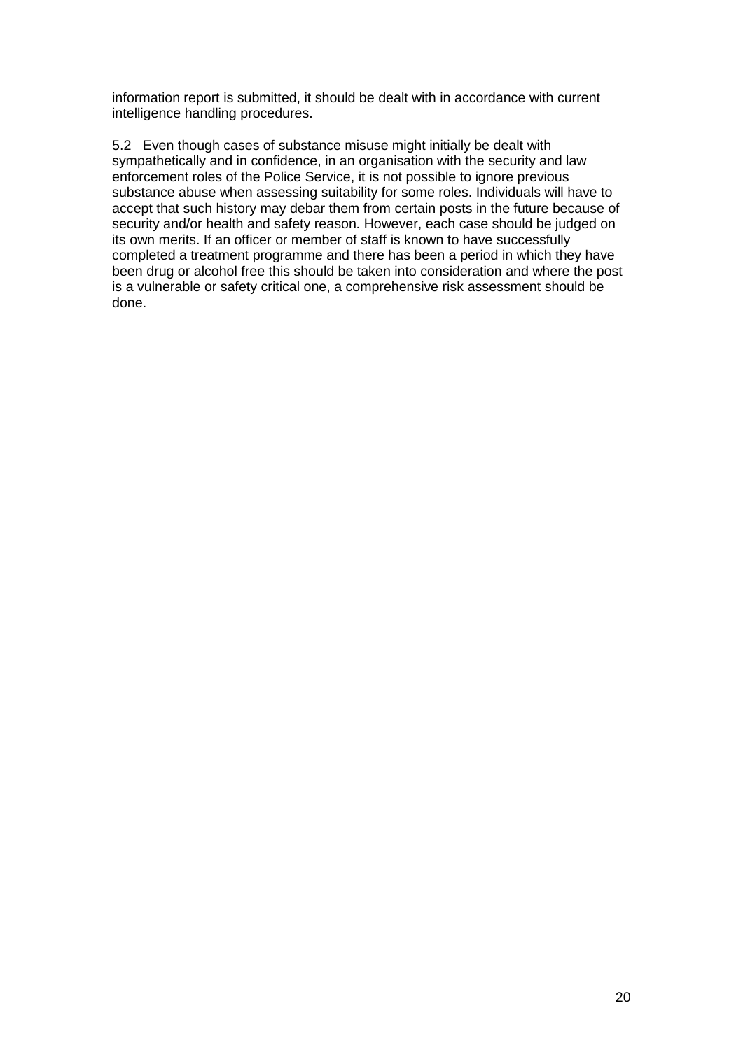information report is submitted, it should be dealt with in accordance with current intelligence handling procedures.

5.2 Even though cases of substance misuse might initially be dealt with sympathetically and in confidence, in an organisation with the security and law enforcement roles of the Police Service, it is not possible to ignore previous substance abuse when assessing suitability for some roles. Individuals will have to accept that such history may debar them from certain posts in the future because of security and/or health and safety reason. However, each case should be judged on its own merits. If an officer or member of staff is known to have successfully completed a treatment programme and there has been a period in which they have been drug or alcohol free this should be taken into consideration and where the post is a vulnerable or safety critical one, a comprehensive risk assessment should be done.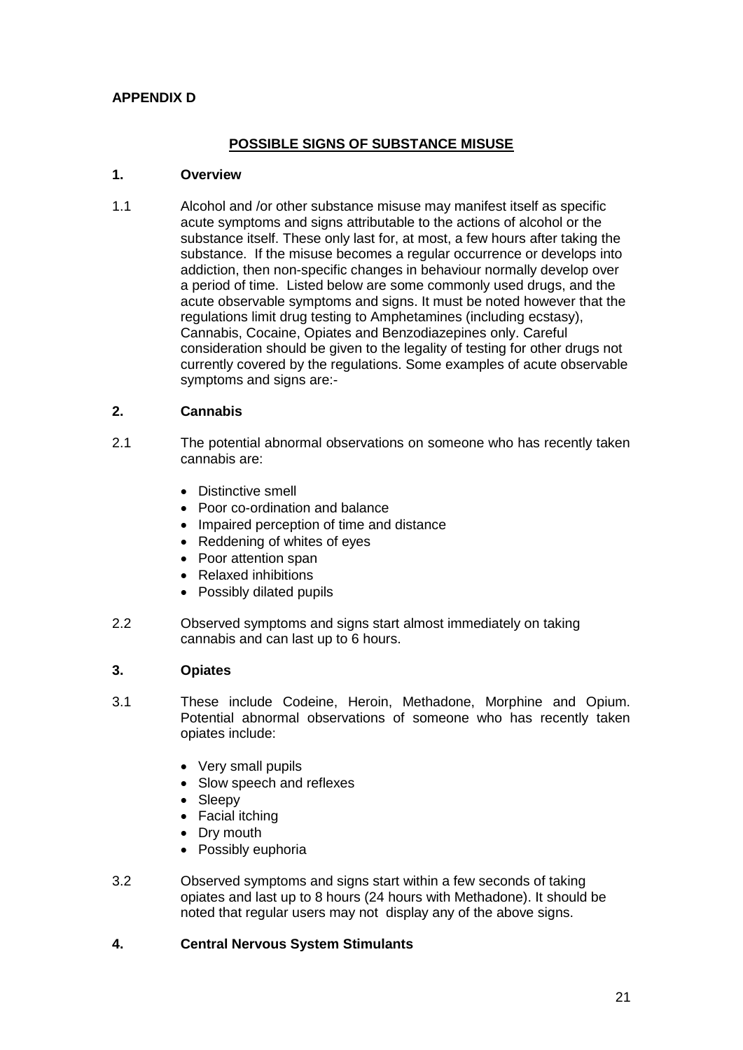#### **APPENDIX D**

#### **POSSIBLE SIGNS OF SUBSTANCE MISUSE**

#### **1. Overview**

1.1 Alcohol and /or other substance misuse may manifest itself as specific acute symptoms and signs attributable to the actions of alcohol or the substance itself. These only last for, at most, a few hours after taking the substance. If the misuse becomes a regular occurrence or develops into addiction, then non-specific changes in behaviour normally develop over a period of time. Listed below are some commonly used drugs, and the acute observable symptoms and signs. It must be noted however that the regulations limit drug testing to Amphetamines (including ecstasy), Cannabis, Cocaine, Opiates and Benzodiazepines only. Careful consideration should be given to the legality of testing for other drugs not currently covered by the regulations. Some examples of acute observable symptoms and signs are:-

#### **2. Cannabis**

- 2.1 The potential abnormal observations on someone who has recently taken cannabis are:
	- Distinctive smell
	- Poor co-ordination and balance
	- Impaired perception of time and distance
	- Reddening of whites of eyes
	- Poor attention span
	- Relaxed inhibitions
	- Possibly dilated pupils
- 2.2 Observed symptoms and signs start almost immediately on taking cannabis and can last up to 6 hours.

#### **3. Opiates**

- 3.1 These include Codeine, Heroin, Methadone, Morphine and Opium. Potential abnormal observations of someone who has recently taken opiates include:
	- Very small pupils
	- Slow speech and reflexes
	- Sleepy
	- Facial itching
	- Drv mouth
	- Possibly euphoria
- 3.2 Observed symptoms and signs start within a few seconds of taking opiates and last up to 8 hours (24 hours with Methadone). It should be noted that regular users may not display any of the above signs.

#### **4. Central Nervous System Stimulants**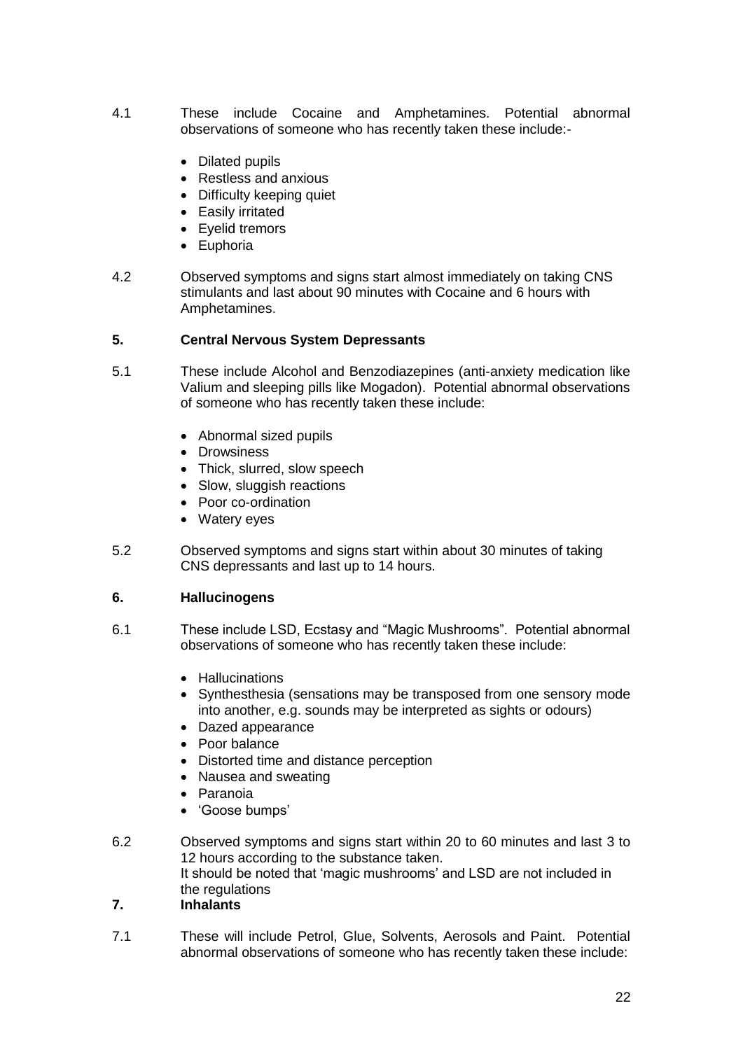- 4.1 These include Cocaine and Amphetamines. Potential abnormal observations of someone who has recently taken these include:-
	- Dilated pupils
	- Restless and anxious
	- Difficulty keeping quiet
	- Easily irritated
	- Eyelid tremors
	- Euphoria
- 4.2 Observed symptoms and signs start almost immediately on taking CNS stimulants and last about 90 minutes with Cocaine and 6 hours with Amphetamines.

#### **5. Central Nervous System Depressants**

- 5.1 These include Alcohol and Benzodiazepines (anti-anxiety medication like Valium and sleeping pills like Mogadon). Potential abnormal observations of someone who has recently taken these include:
	- Abnormal sized pupils
	- Drowsiness
	- Thick, slurred, slow speech
	- Slow, sluggish reactions
	- Poor co-ordination
	- Watery eyes
- 5.2 Observed symptoms and signs start within about 30 minutes of taking CNS depressants and last up to 14 hours.

#### **6. Hallucinogens**

- 6.1 These include LSD, Ecstasy and "Magic Mushrooms". Potential abnormal observations of someone who has recently taken these include:
	- Hallucinations
	- Synthesthesia (sensations may be transposed from one sensory mode into another, e.g. sounds may be interpreted as sights or odours)
	- Dazed appearance
	- Poor balance
	- Distorted time and distance perception
	- Nausea and sweating
	- Paranoia
	- 'Goose bumps'
- 6.2 Observed symptoms and signs start within 20 to 60 minutes and last 3 to 12 hours according to the substance taken. It should be noted that 'magic mushrooms' and LSD are not included in the regulations

#### **7. Inhalants**

7.1 These will include Petrol, Glue, Solvents, Aerosols and Paint. Potential abnormal observations of someone who has recently taken these include: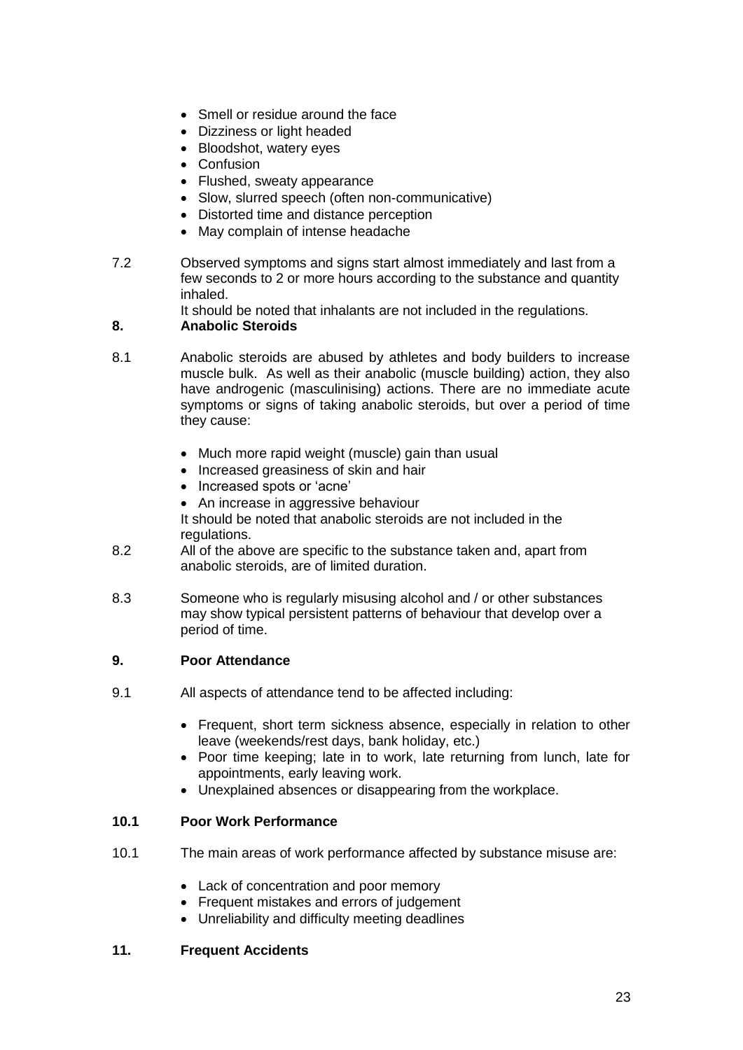- Smell or residue around the face
- Dizziness or light headed
- Bloodshot, watery eyes
- Confusion
- Flushed, sweaty appearance
- Slow, slurred speech (often non-communicative)
- Distorted time and distance perception
- May complain of intense headache
- 7.2 Observed symptoms and signs start almost immediately and last from a few seconds to 2 or more hours according to the substance and quantity inhaled.

It should be noted that inhalants are not included in the regulations.

#### **8. Anabolic Steroids**

- 8.1 Anabolic steroids are abused by athletes and body builders to increase muscle bulk. As well as their anabolic (muscle building) action, they also have androgenic (masculinising) actions. There are no immediate acute symptoms or signs of taking anabolic steroids, but over a period of time they cause:
	- Much more rapid weight (muscle) gain than usual
	- Increased greasiness of skin and hair
	- Increased spots or 'acne'
	- An increase in aggressive behaviour

It should be noted that anabolic steroids are not included in the regulations.

- 8.2 All of the above are specific to the substance taken and, apart from anabolic steroids, are of limited duration.
- 8.3 Someone who is regularly misusing alcohol and / or other substances may show typical persistent patterns of behaviour that develop over a period of time.

#### **9. Poor Attendance**

- 9.1 All aspects of attendance tend to be affected including:
	- Frequent, short term sickness absence, especially in relation to other leave (weekends/rest days, bank holiday, etc.)
	- Poor time keeping: late in to work, late returning from lunch, late for appointments, early leaving work.
	- Unexplained absences or disappearing from the workplace.

#### **10.1 Poor Work Performance**

- 10.1 The main areas of work performance affected by substance misuse are:
	- Lack of concentration and poor memory
	- Frequent mistakes and errors of judgement
	- Unreliability and difficulty meeting deadlines

#### **11. Frequent Accidents**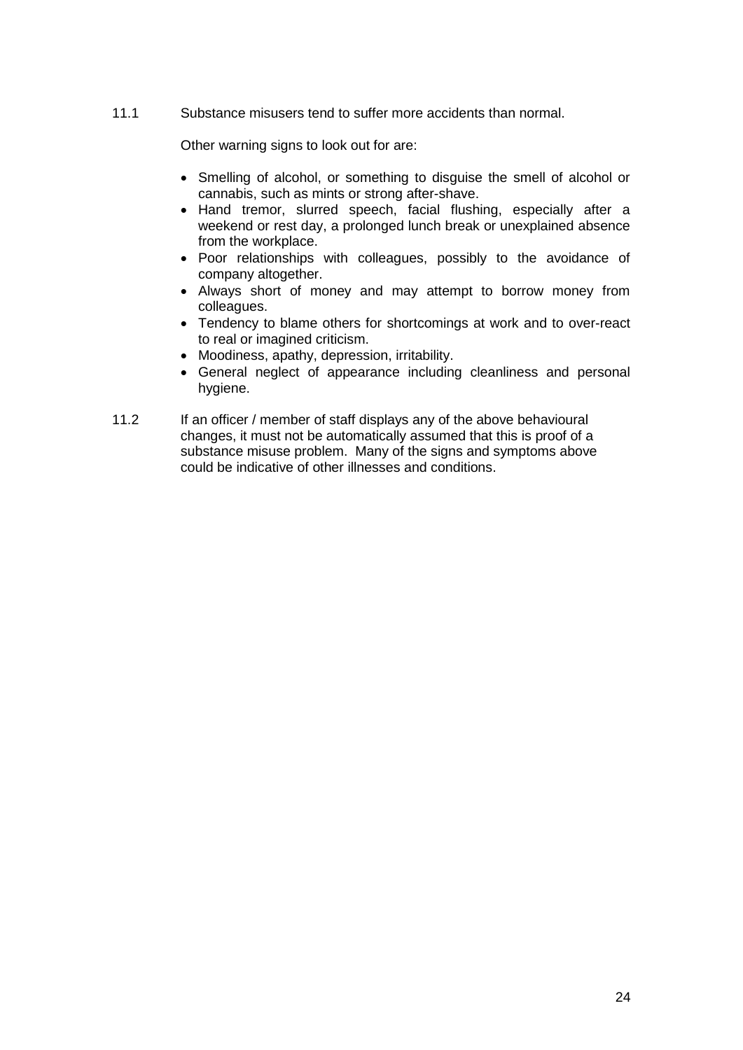11.1 Substance misusers tend to suffer more accidents than normal.

Other warning signs to look out for are:

- Smelling of alcohol, or something to disguise the smell of alcohol or cannabis, such as mints or strong after-shave.
- Hand tremor, slurred speech, facial flushing, especially after a weekend or rest day, a prolonged lunch break or unexplained absence from the workplace.
- Poor relationships with colleagues, possibly to the avoidance of company altogether.
- Always short of money and may attempt to borrow money from colleagues.
- Tendency to blame others for shortcomings at work and to over-react to real or imagined criticism.
- Moodiness, apathy, depression, irritability.
- General neglect of appearance including cleanliness and personal hygiene.
- 11.2 If an officer / member of staff displays any of the above behavioural changes, it must not be automatically assumed that this is proof of a substance misuse problem. Many of the signs and symptoms above could be indicative of other illnesses and conditions.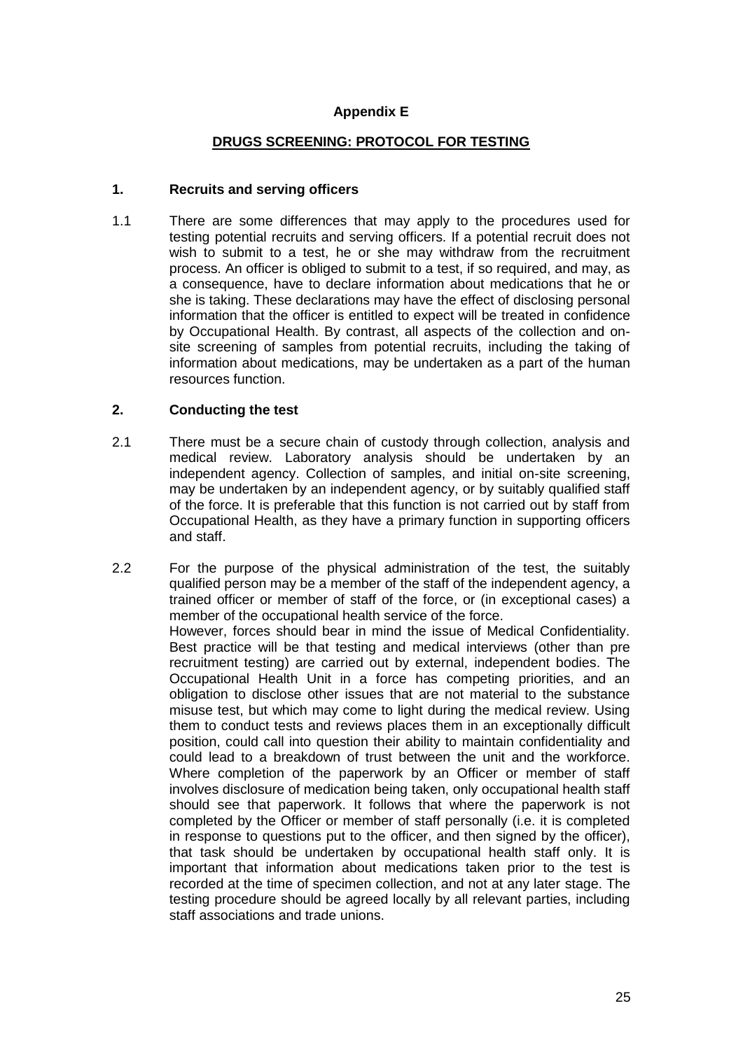#### **Appendix E**

#### **DRUGS SCREENING: PROTOCOL FOR TESTING**

#### **1. Recruits and serving officers**

1.1 There are some differences that may apply to the procedures used for testing potential recruits and serving officers. If a potential recruit does not wish to submit to a test, he or she may withdraw from the recruitment process. An officer is obliged to submit to a test, if so required, and may, as a consequence, have to declare information about medications that he or she is taking. These declarations may have the effect of disclosing personal information that the officer is entitled to expect will be treated in confidence by Occupational Health. By contrast, all aspects of the collection and onsite screening of samples from potential recruits, including the taking of information about medications, may be undertaken as a part of the human resources function.

#### **2. Conducting the test**

- 2.1 There must be a secure chain of custody through collection, analysis and medical review. Laboratory analysis should be undertaken by an independent agency. Collection of samples, and initial on-site screening, may be undertaken by an independent agency, or by suitably qualified staff of the force. It is preferable that this function is not carried out by staff from Occupational Health, as they have a primary function in supporting officers and staff.
- 2.2 For the purpose of the physical administration of the test, the suitably qualified person may be a member of the staff of the independent agency, a trained officer or member of staff of the force, or (in exceptional cases) a member of the occupational health service of the force. However, forces should bear in mind the issue of Medical Confidentiality. Best practice will be that testing and medical interviews (other than pre recruitment testing) are carried out by external, independent bodies. The Occupational Health Unit in a force has competing priorities, and an obligation to disclose other issues that are not material to the substance misuse test, but which may come to light during the medical review. Using them to conduct tests and reviews places them in an exceptionally difficult position, could call into question their ability to maintain confidentiality and could lead to a breakdown of trust between the unit and the workforce. Where completion of the paperwork by an Officer or member of staff involves disclosure of medication being taken, only occupational health staff should see that paperwork. It follows that where the paperwork is not completed by the Officer or member of staff personally (i.e. it is completed in response to questions put to the officer, and then signed by the officer), that task should be undertaken by occupational health staff only. It is important that information about medications taken prior to the test is recorded at the time of specimen collection, and not at any later stage. The testing procedure should be agreed locally by all relevant parties, including staff associations and trade unions.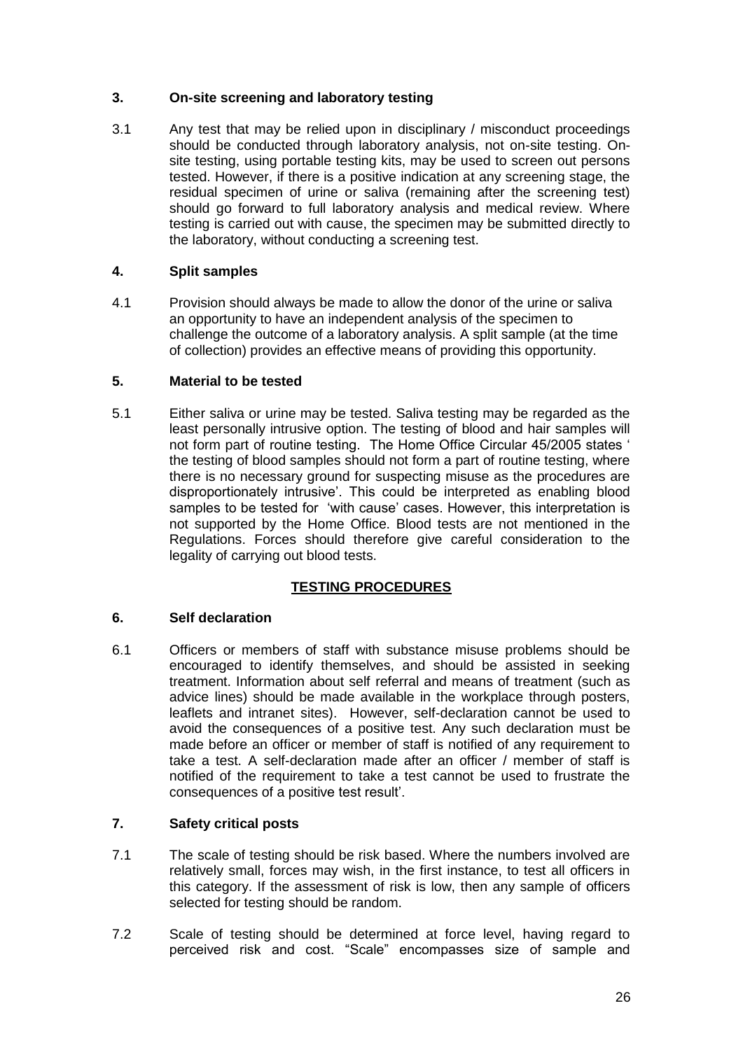#### **3. On-site screening and laboratory testing**

3.1 Any test that may be relied upon in disciplinary / misconduct proceedings should be conducted through laboratory analysis, not on-site testing. Onsite testing, using portable testing kits, may be used to screen out persons tested. However, if there is a positive indication at any screening stage, the residual specimen of urine or saliva (remaining after the screening test) should go forward to full laboratory analysis and medical review. Where testing is carried out with cause, the specimen may be submitted directly to the laboratory, without conducting a screening test.

#### **4. Split samples**

4.1 Provision should always be made to allow the donor of the urine or saliva an opportunity to have an independent analysis of the specimen to challenge the outcome of a laboratory analysis. A split sample (at the time of collection) provides an effective means of providing this opportunity.

#### **5. Material to be tested**

5.1 Either saliva or urine may be tested. Saliva testing may be regarded as the least personally intrusive option. The testing of blood and hair samples will not form part of routine testing. The Home Office Circular 45/2005 states ' the testing of blood samples should not form a part of routine testing, where there is no necessary ground for suspecting misuse as the procedures are disproportionately intrusive'. This could be interpreted as enabling blood samples to be tested for 'with cause' cases. However, this interpretation is not supported by the Home Office. Blood tests are not mentioned in the Regulations. Forces should therefore give careful consideration to the legality of carrying out blood tests.

#### **TESTING PROCEDURES**

#### **6. Self declaration**

6.1 Officers or members of staff with substance misuse problems should be encouraged to identify themselves, and should be assisted in seeking treatment. Information about self referral and means of treatment (such as advice lines) should be made available in the workplace through posters, leaflets and intranet sites). However, self-declaration cannot be used to avoid the consequences of a positive test. Any such declaration must be made before an officer or member of staff is notified of any requirement to take a test. A self-declaration made after an officer / member of staff is notified of the requirement to take a test cannot be used to frustrate the consequences of a positive test result'.

#### **7. Safety critical posts**

- 7.1 The scale of testing should be risk based. Where the numbers involved are relatively small, forces may wish, in the first instance, to test all officers in this category. If the assessment of risk is low, then any sample of officers selected for testing should be random.
- 7.2 Scale of testing should be determined at force level, having regard to perceived risk and cost. "Scale" encompasses size of sample and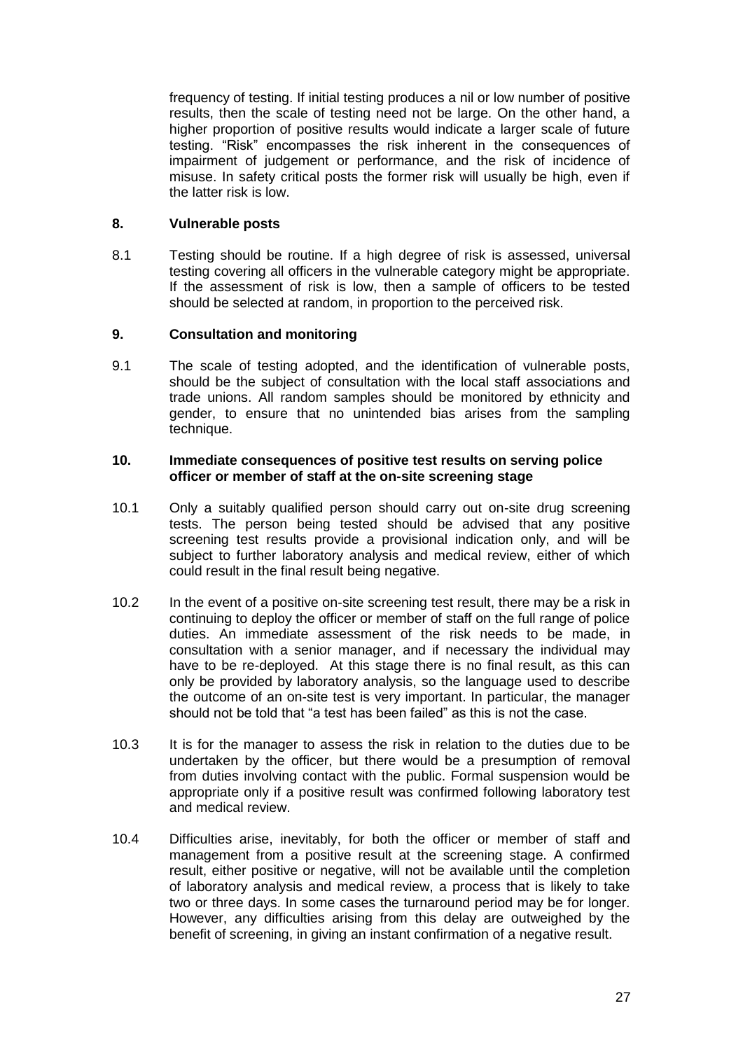frequency of testing. If initial testing produces a nil or low number of positive results, then the scale of testing need not be large. On the other hand, a higher proportion of positive results would indicate a larger scale of future testing. "Risk" encompasses the risk inherent in the consequences of impairment of judgement or performance, and the risk of incidence of misuse. In safety critical posts the former risk will usually be high, even if the latter risk is low.

#### **8. Vulnerable posts**

8.1 Testing should be routine. If a high degree of risk is assessed, universal testing covering all officers in the vulnerable category might be appropriate. If the assessment of risk is low, then a sample of officers to be tested should be selected at random, in proportion to the perceived risk.

#### **9. Consultation and monitoring**

9.1 The scale of testing adopted, and the identification of vulnerable posts, should be the subject of consultation with the local staff associations and trade unions. All random samples should be monitored by ethnicity and gender, to ensure that no unintended bias arises from the sampling technique.

#### **10. Immediate consequences of positive test results on serving police officer or member of staff at the on-site screening stage**

- 10.1 Only a suitably qualified person should carry out on-site drug screening tests. The person being tested should be advised that any positive screening test results provide a provisional indication only, and will be subject to further laboratory analysis and medical review, either of which could result in the final result being negative.
- 10.2 In the event of a positive on-site screening test result, there may be a risk in continuing to deploy the officer or member of staff on the full range of police duties. An immediate assessment of the risk needs to be made, in consultation with a senior manager, and if necessary the individual may have to be re-deployed. At this stage there is no final result, as this can only be provided by laboratory analysis, so the language used to describe the outcome of an on-site test is very important. In particular, the manager should not be told that "a test has been failed" as this is not the case.
- 10.3 It is for the manager to assess the risk in relation to the duties due to be undertaken by the officer, but there would be a presumption of removal from duties involving contact with the public. Formal suspension would be appropriate only if a positive result was confirmed following laboratory test and medical review.
- 10.4 Difficulties arise, inevitably, for both the officer or member of staff and management from a positive result at the screening stage. A confirmed result, either positive or negative, will not be available until the completion of laboratory analysis and medical review, a process that is likely to take two or three days. In some cases the turnaround period may be for longer. However, any difficulties arising from this delay are outweighed by the benefit of screening, in giving an instant confirmation of a negative result.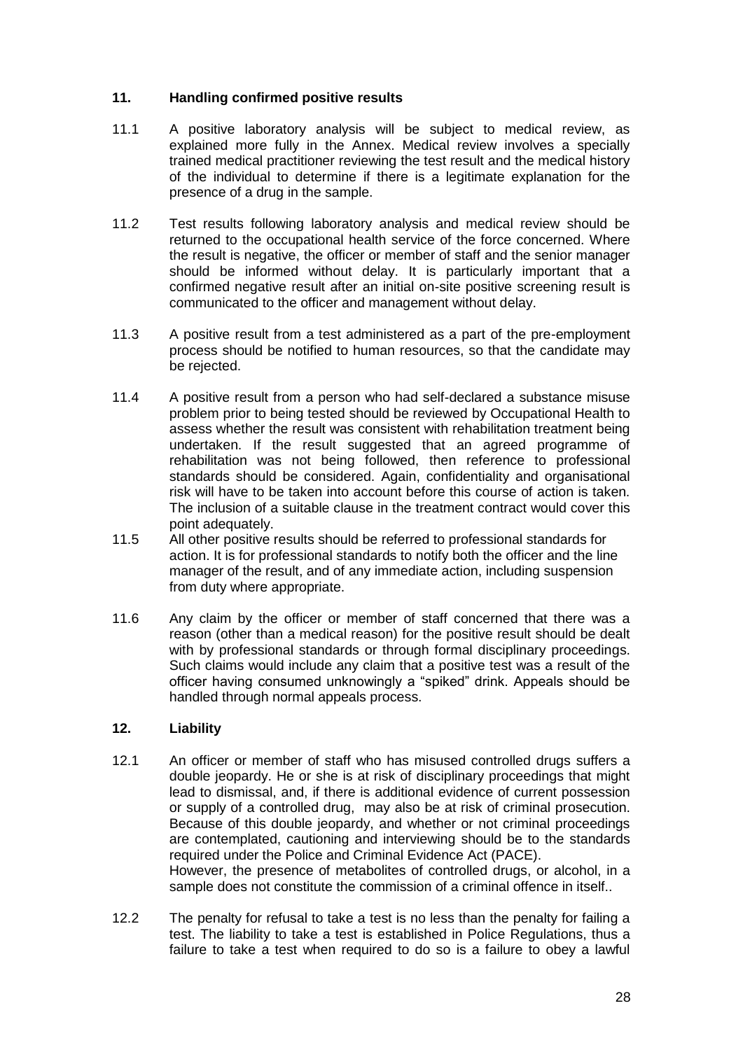#### **11. Handling confirmed positive results**

- 11.1 A positive laboratory analysis will be subject to medical review, as explained more fully in the Annex. Medical review involves a specially trained medical practitioner reviewing the test result and the medical history of the individual to determine if there is a legitimate explanation for the presence of a drug in the sample.
- 11.2 Test results following laboratory analysis and medical review should be returned to the occupational health service of the force concerned. Where the result is negative, the officer or member of staff and the senior manager should be informed without delay. It is particularly important that a confirmed negative result after an initial on-site positive screening result is communicated to the officer and management without delay.
- 11.3 A positive result from a test administered as a part of the pre-employment process should be notified to human resources, so that the candidate may be rejected.
- 11.4 A positive result from a person who had self-declared a substance misuse problem prior to being tested should be reviewed by Occupational Health to assess whether the result was consistent with rehabilitation treatment being undertaken. If the result suggested that an agreed programme of rehabilitation was not being followed, then reference to professional standards should be considered. Again, confidentiality and organisational risk will have to be taken into account before this course of action is taken. The inclusion of a suitable clause in the treatment contract would cover this point adequately.
- 11.5 All other positive results should be referred to professional standards for action. It is for professional standards to notify both the officer and the line manager of the result, and of any immediate action, including suspension from duty where appropriate.
- 11.6 Any claim by the officer or member of staff concerned that there was a reason (other than a medical reason) for the positive result should be dealt with by professional standards or through formal disciplinary proceedings. Such claims would include any claim that a positive test was a result of the officer having consumed unknowingly a "spiked" drink. Appeals should be handled through normal appeals process.

#### **12. Liability**

- 12.1 An officer or member of staff who has misused controlled drugs suffers a double jeopardy. He or she is at risk of disciplinary proceedings that might lead to dismissal, and, if there is additional evidence of current possession or supply of a controlled drug, may also be at risk of criminal prosecution. Because of this double jeopardy, and whether or not criminal proceedings are contemplated, cautioning and interviewing should be to the standards required under the Police and Criminal Evidence Act (PACE). However, the presence of metabolites of controlled drugs, or alcohol, in a sample does not constitute the commission of a criminal offence in itself..
- 12.2 The penalty for refusal to take a test is no less than the penalty for failing a test. The liability to take a test is established in Police Regulations, thus a failure to take a test when required to do so is a failure to obey a lawful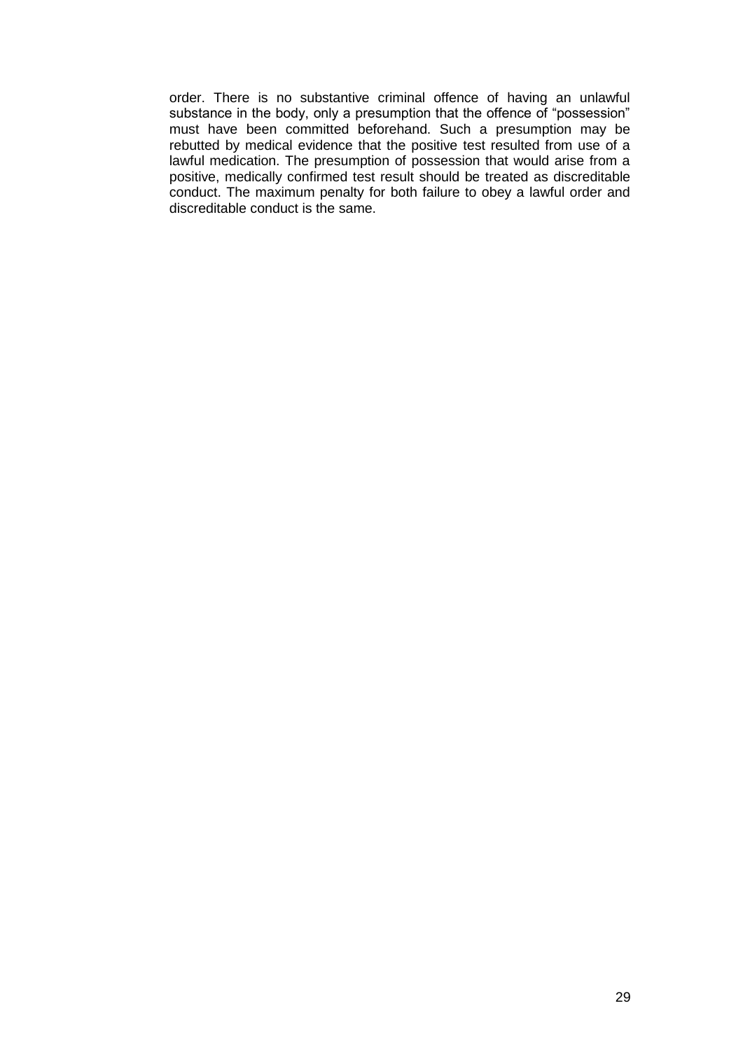order. There is no substantive criminal offence of having an unlawful substance in the body, only a presumption that the offence of "possession" must have been committed beforehand. Such a presumption may be rebutted by medical evidence that the positive test resulted from use of a lawful medication. The presumption of possession that would arise from a positive, medically confirmed test result should be treated as discreditable conduct. The maximum penalty for both failure to obey a lawful order and discreditable conduct is the same.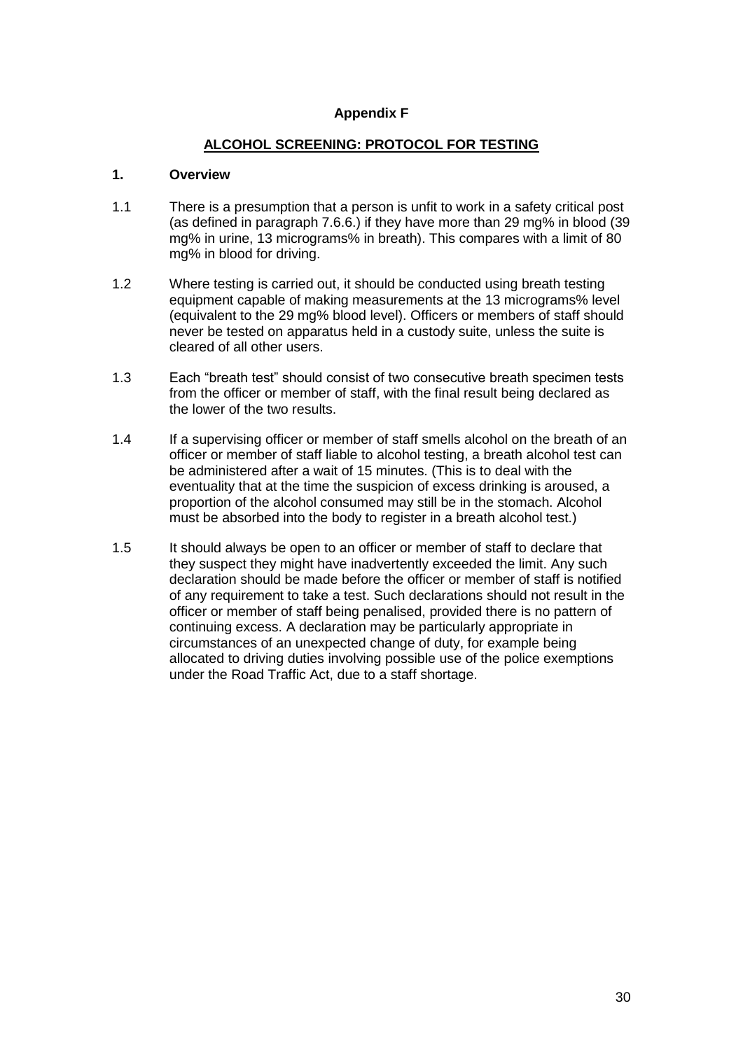#### **Appendix F**

#### **ALCOHOL SCREENING: PROTOCOL FOR TESTING**

#### **1. Overview**

- 1.1 There is a presumption that a person is unfit to work in a safety critical post (as defined in paragraph 7.6.6.) if they have more than 29 mg% in blood (39 mg% in urine, 13 micrograms% in breath). This compares with a limit of 80 mg% in blood for driving.
- 1.2 Where testing is carried out, it should be conducted using breath testing equipment capable of making measurements at the 13 micrograms% level (equivalent to the 29 mg% blood level). Officers or members of staff should never be tested on apparatus held in a custody suite, unless the suite is cleared of all other users.
- 1.3 Each "breath test" should consist of two consecutive breath specimen tests from the officer or member of staff, with the final result being declared as the lower of the two results.
- 1.4 If a supervising officer or member of staff smells alcohol on the breath of an officer or member of staff liable to alcohol testing, a breath alcohol test can be administered after a wait of 15 minutes. (This is to deal with the eventuality that at the time the suspicion of excess drinking is aroused, a proportion of the alcohol consumed may still be in the stomach. Alcohol must be absorbed into the body to register in a breath alcohol test.)
- 1.5 It should always be open to an officer or member of staff to declare that they suspect they might have inadvertently exceeded the limit. Any such declaration should be made before the officer or member of staff is notified of any requirement to take a test. Such declarations should not result in the officer or member of staff being penalised, provided there is no pattern of continuing excess. A declaration may be particularly appropriate in circumstances of an unexpected change of duty, for example being allocated to driving duties involving possible use of the police exemptions under the Road Traffic Act, due to a staff shortage.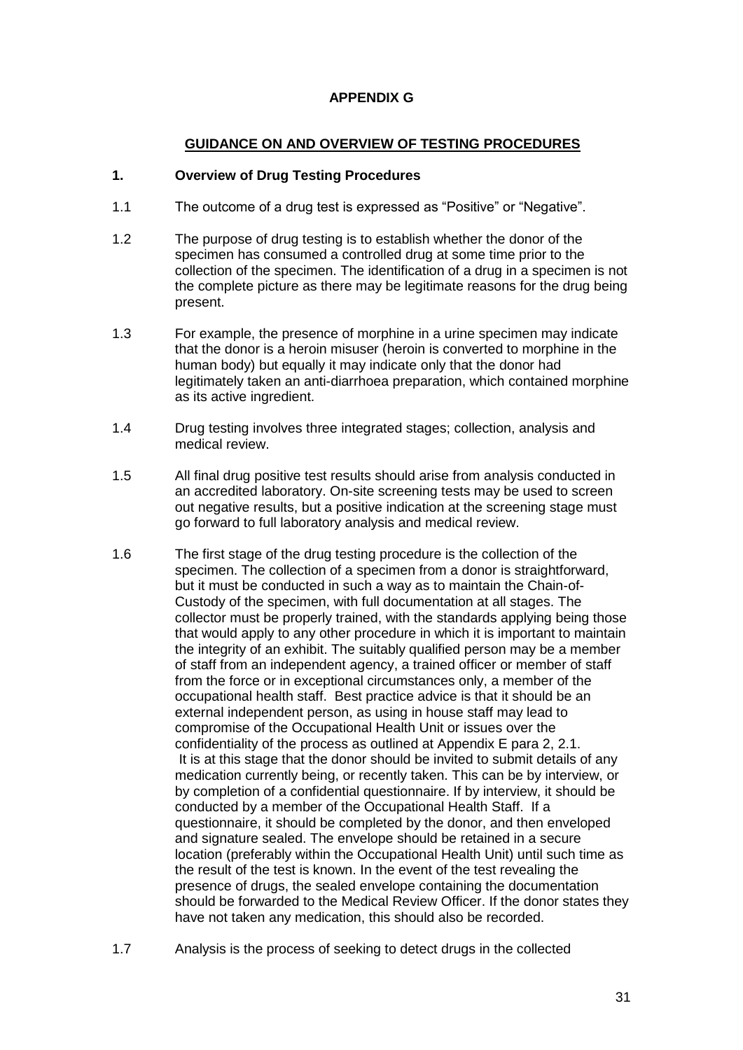#### **APPENDIX G**

#### **GUIDANCE ON AND OVERVIEW OF TESTING PROCEDURES**

#### **1. Overview of Drug Testing Procedures**

- 1.1 The outcome of a drug test is expressed as "Positive" or "Negative".
- 1.2 The purpose of drug testing is to establish whether the donor of the specimen has consumed a controlled drug at some time prior to the collection of the specimen. The identification of a drug in a specimen is not the complete picture as there may be legitimate reasons for the drug being present.
- 1.3 For example, the presence of morphine in a urine specimen may indicate that the donor is a heroin misuser (heroin is converted to morphine in the human body) but equally it may indicate only that the donor had legitimately taken an anti-diarrhoea preparation, which contained morphine as its active ingredient.
- 1.4 Drug testing involves three integrated stages; collection, analysis and medical review.
- 1.5 All final drug positive test results should arise from analysis conducted in an accredited laboratory. On-site screening tests may be used to screen out negative results, but a positive indication at the screening stage must go forward to full laboratory analysis and medical review.
- 1.6 The first stage of the drug testing procedure is the collection of the specimen. The collection of a specimen from a donor is straightforward, but it must be conducted in such a way as to maintain the Chain-of-Custody of the specimen, with full documentation at all stages. The collector must be properly trained, with the standards applying being those that would apply to any other procedure in which it is important to maintain the integrity of an exhibit. The suitably qualified person may be a member of staff from an independent agency, a trained officer or member of staff from the force or in exceptional circumstances only, a member of the occupational health staff. Best practice advice is that it should be an external independent person, as using in house staff may lead to compromise of the Occupational Health Unit or issues over the confidentiality of the process as outlined at Appendix E para 2, 2.1. It is at this stage that the donor should be invited to submit details of any medication currently being, or recently taken. This can be by interview, or by completion of a confidential questionnaire. If by interview, it should be conducted by a member of the Occupational Health Staff. If a questionnaire, it should be completed by the donor, and then enveloped and signature sealed. The envelope should be retained in a secure location (preferably within the Occupational Health Unit) until such time as the result of the test is known. In the event of the test revealing the presence of drugs, the sealed envelope containing the documentation should be forwarded to the Medical Review Officer. If the donor states they have not taken any medication, this should also be recorded.
- 1.7 Analysis is the process of seeking to detect drugs in the collected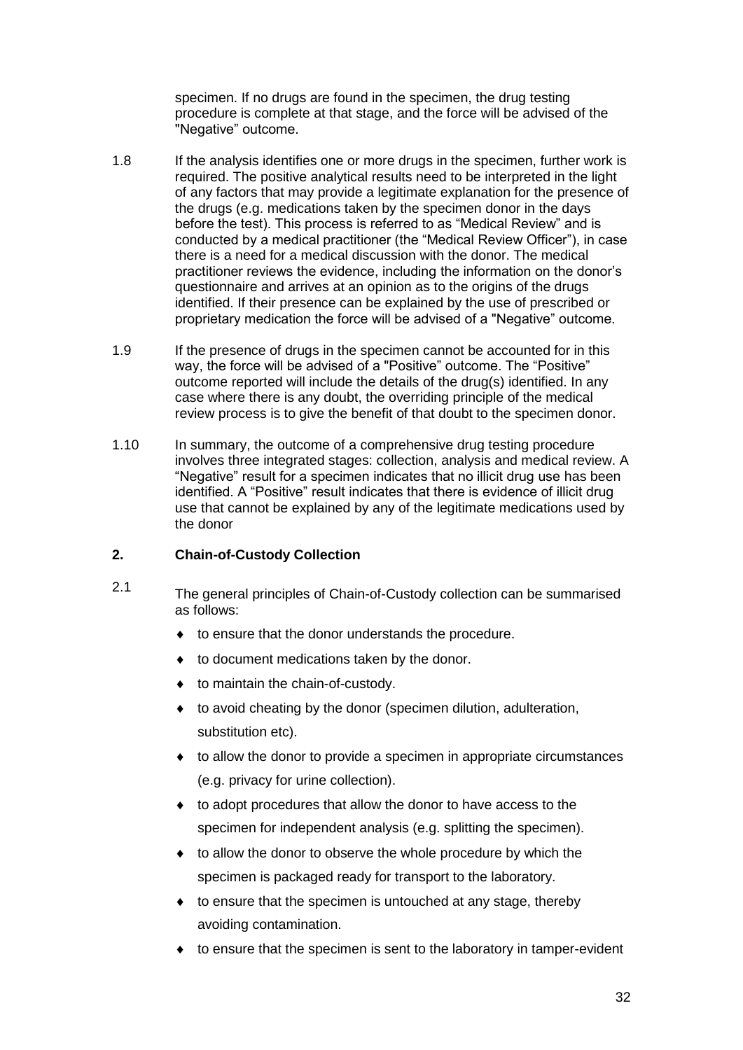specimen. If no drugs are found in the specimen, the drug testing procedure is complete at that stage, and the force will be advised of the "Negative" outcome.

- 1.8 If the analysis identifies one or more drugs in the specimen, further work is required. The positive analytical results need to be interpreted in the light of any factors that may provide a legitimate explanation for the presence of the drugs (e.g. medications taken by the specimen donor in the days before the test). This process is referred to as "Medical Review" and is conducted by a medical practitioner (the "Medical Review Officer"), in case there is a need for a medical discussion with the donor. The medical practitioner reviews the evidence, including the information on the donor's questionnaire and arrives at an opinion as to the origins of the drugs identified. If their presence can be explained by the use of prescribed or proprietary medication the force will be advised of a "Negative" outcome.
- 1.9 If the presence of drugs in the specimen cannot be accounted for in this way, the force will be advised of a "Positive" outcome. The "Positive" outcome reported will include the details of the drug(s) identified. In any case where there is any doubt, the overriding principle of the medical review process is to give the benefit of that doubt to the specimen donor.
- 1.10 In summary, the outcome of a comprehensive drug testing procedure involves three integrated stages: collection, analysis and medical review. A "Negative" result for a specimen indicates that no illicit drug use has been identified. A "Positive" result indicates that there is evidence of illicit drug use that cannot be explained by any of the legitimate medications used by the donor

#### **2. Chain-of-Custody Collection**

- 2.1 The general principles of Chain-of-Custody collection can be summarised as follows:
	- $\bullet$  to ensure that the donor understands the procedure.
	- ◆ to document medications taken by the donor.
	- $\bullet$  to maintain the chain-of-custody.
	- $\bullet$  to avoid cheating by the donor (specimen dilution, adulteration, substitution etc).
	- to allow the donor to provide a specimen in appropriate circumstances (e.g. privacy for urine collection).
	- to adopt procedures that allow the donor to have access to the specimen for independent analysis (e.g. splitting the specimen).
	- $\bullet$  to allow the donor to observe the whole procedure by which the specimen is packaged ready for transport to the laboratory.
	- $\bullet$  to ensure that the specimen is untouched at any stage, thereby avoiding contamination.
	- $\bullet$  to ensure that the specimen is sent to the laboratory in tamper-evident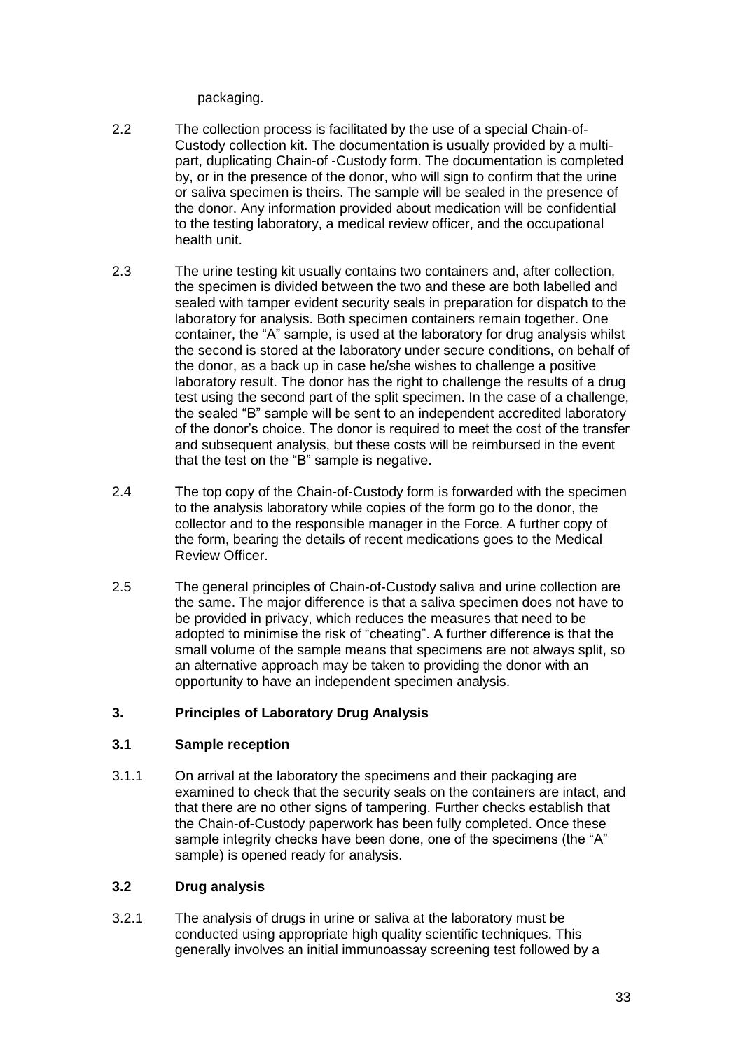packaging.

- 2.2 The collection process is facilitated by the use of a special Chain-of-Custody collection kit. The documentation is usually provided by a multipart, duplicating Chain-of -Custody form. The documentation is completed by, or in the presence of the donor, who will sign to confirm that the urine or saliva specimen is theirs. The sample will be sealed in the presence of the donor. Any information provided about medication will be confidential to the testing laboratory, a medical review officer, and the occupational health unit.
- 2.3 The urine testing kit usually contains two containers and, after collection, the specimen is divided between the two and these are both labelled and sealed with tamper evident security seals in preparation for dispatch to the laboratory for analysis. Both specimen containers remain together. One container, the "A" sample, is used at the laboratory for drug analysis whilst the second is stored at the laboratory under secure conditions, on behalf of the donor, as a back up in case he/she wishes to challenge a positive laboratory result. The donor has the right to challenge the results of a drug test using the second part of the split specimen. In the case of a challenge, the sealed "B" sample will be sent to an independent accredited laboratory of the donor's choice. The donor is required to meet the cost of the transfer and subsequent analysis, but these costs will be reimbursed in the event that the test on the "B" sample is negative.
- 2.4 The top copy of the Chain-of-Custody form is forwarded with the specimen to the analysis laboratory while copies of the form go to the donor, the collector and to the responsible manager in the Force. A further copy of the form, bearing the details of recent medications goes to the Medical Review Officer.
- 2.5 The general principles of Chain-of-Custody saliva and urine collection are the same. The major difference is that a saliva specimen does not have to be provided in privacy, which reduces the measures that need to be adopted to minimise the risk of "cheating". A further difference is that the small volume of the sample means that specimens are not always split, so an alternative approach may be taken to providing the donor with an opportunity to have an independent specimen analysis.

#### **3. Principles of Laboratory Drug Analysis**

#### **3.1 Sample reception**

3.1.1 On arrival at the laboratory the specimens and their packaging are examined to check that the security seals on the containers are intact, and that there are no other signs of tampering. Further checks establish that the Chain-of-Custody paperwork has been fully completed. Once these sample integrity checks have been done, one of the specimens (the "A" sample) is opened ready for analysis.

#### **3.2 Drug analysis**

3.2.1 The analysis of drugs in urine or saliva at the laboratory must be conducted using appropriate high quality scientific techniques. This generally involves an initial immunoassay screening test followed by a